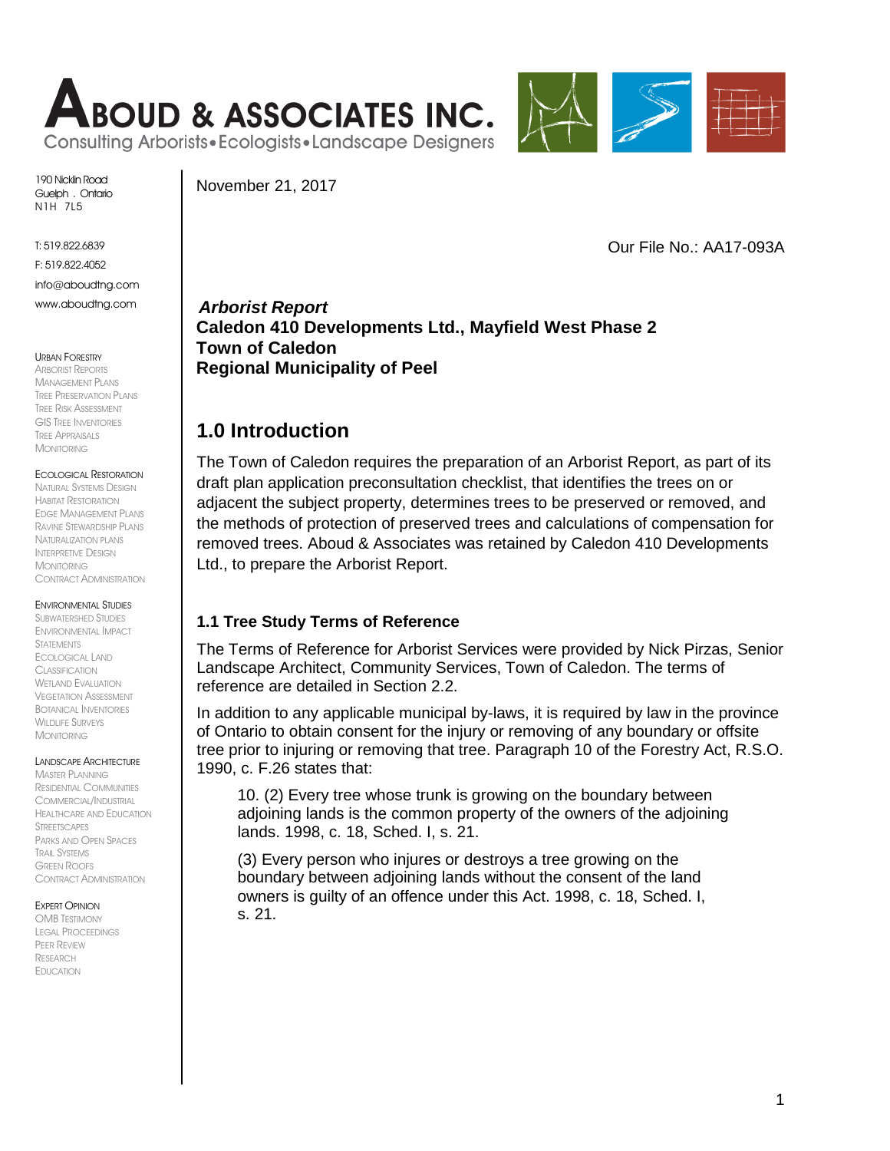



190 Nicklin Road Guelph . Ontario N1H 7L5

T: 519.822.6839

F: 519.822.4052

info@aboudtng.com www.aboudtng.com

#### URBAN FORESTRY

ARBORIST REPORTS MANAGEMENT PLANS TREE PRESERVATION PLANS TREE RISK ASSESSMENT GIS TREE INVENTORIES TREE APPRAISALS MONITORING

#### ECOLOGICAL RESTORATION

NATURAL SYSTEMS DESIGN HABITAT RESTORATION EDGE MANAGEMENT PLANS RAVINE STEWARDSHIP PLANS NATURALIZATION PLANS INTERPRETIVE DESIGN MONITORING CONTRACT ADMINISTRATION

#### ENVIRONMENTAL STUDIES

SUBWATERSHED STUDIES ENVIRONMENTAL IMPACT **STATEMENTS** ECOLOGICAL LAND CLASSIFICATION WFTI AND EVALUATION VEGETATION ASSESSMENT BOTANICAL INVENTORIES WILDLIFE SURVEYS MONITORING

LANDSCAPE ARCHITECTURE

**MASTER PLANNING** RESIDENTIAL COMMUNITIES COMMERCIAL/INDUSTRIAL HEALTHCARE AND EDUCATION STREETSCAPES PARKS AND OPEN SPACES TRAIL SYSTEMS GREEN ROOFS CONTRACT ADMINISTRATION

#### EXPERT OPINION

OMB TESTIMONY LEGAL PROCEEDINGS PEER REVIEW RESEARCH EDUCATION

November 21, 2017

Our File No.: AA17-093A

*Arborist Report* **Caledon 410 Developments Ltd., Mayfield West Phase 2 Town of Caledon Regional Municipality of Peel**

## **1.0 Introduction**

The Town of Caledon requires the preparation of an Arborist Report, as part of its draft plan application preconsultation checklist, that identifies the trees on or adjacent the subject property, determines trees to be preserved or removed, and the methods of protection of preserved trees and calculations of compensation for removed trees. Aboud & Associates was retained by Caledon 410 Developments Ltd., to prepare the Arborist Report.

### **1.1 Tree Study Terms of Reference**

The Terms of Reference for Arborist Services were provided by Nick Pirzas, Senior Landscape Architect, Community Services, Town of Caledon. The terms of reference are detailed in Section 2.2.

In addition to any applicable municipal by-laws, it is required by law in the province of Ontario to obtain consent for the injury or removing of any boundary or offsite tree prior to injuring or removing that tree. Paragraph 10 of the Forestry Act, R.S.O. 1990, c. F.26 states that:

10. (2) Every tree whose trunk is growing on the boundary between adjoining lands is the common property of the owners of the adjoining lands. 1998, c. 18, Sched. I, s. 21.

(3) Every person who injures or destroys a tree growing on the boundary between adjoining lands without the consent of the land owners is guilty of an offence under this Act. 1998, c. 18, Sched. I, s. 21.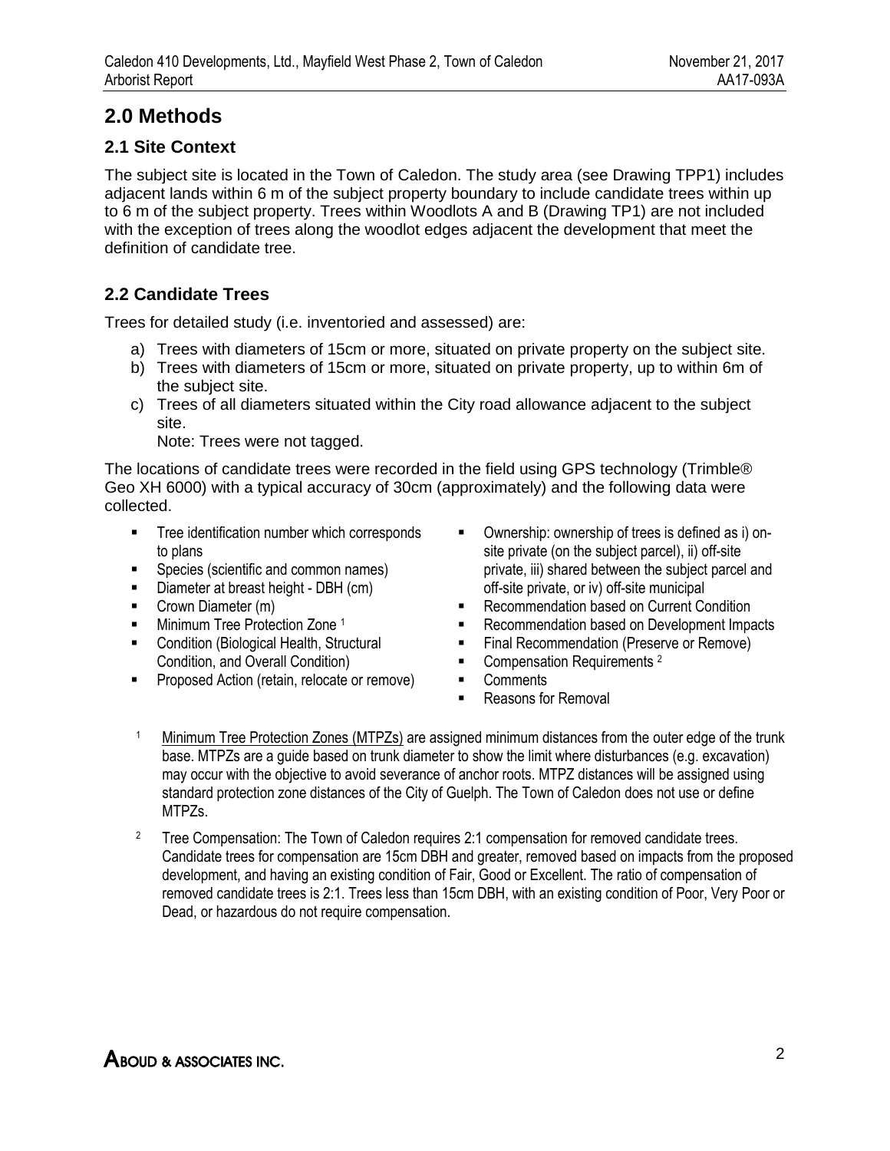# **2.0 Methods**

## **2.1 Site Context**

The subject site is located in the Town of Caledon. The study area (see Drawing TPP1) includes adjacent lands within 6 m of the subject property boundary to include candidate trees within up to 6 m of the subject property. Trees within Woodlots A and B (Drawing TP1) are not included with the exception of trees along the woodlot edges adjacent the development that meet the definition of candidate tree.

## **2.2 Candidate Trees**

Trees for detailed study (i.e. inventoried and assessed) are:

- a) Trees with diameters of 15cm or more, situated on private property on the subject site.
- b) Trees with diameters of 15cm or more, situated on private property, up to within 6m of the subject site.
- c) Trees of all diameters situated within the City road allowance adjacent to the subject site.

Note: Trees were not tagged.

The locations of candidate trees were recorded in the field using GPS technology (Trimble® Geo XH 6000) with a typical accuracy of 30cm (approximately) and the following data were collected.

- **Tree identification number which corresponds** to plans
- **Species (scientific and common names)**
- Diameter at breast height DBH (cm)
- Crown Diameter (m)
- **Minimum Tree Protection Zone 1**
- **EXECONDITION** Condition (Biological Health, Structural Condition, and Overall Condition)
- **Proposed Action (retain, relocate or remove)**
- Ownership: ownership of trees is defined as i) onsite private (on the subject parcel), ii) off-site private, iii) shared between the subject parcel and off-site private, or iv) off-site municipal
- **Recommendation based on Current Condition**
- Recommendation based on Development Impacts
- Final Recommendation (Preserve or Remove)
- Compensation Requirements <sup>2</sup>
- **-** Comments
- Reasons for Removal
- <sup>1</sup> Minimum Tree Protection Zones (MTPZs) are assigned minimum distances from the outer edge of the trunk base. MTPZs are a guide based on trunk diameter to show the limit where disturbances (e.g. excavation) may occur with the objective to avoid severance of anchor roots. MTPZ distances will be assigned using standard protection zone distances of the City of Guelph. The Town of Caledon does not use or define MTPZs.
- <sup>2</sup> Tree Compensation: The Town of Caledon requires 2:1 compensation for removed candidate trees. Candidate trees for compensation are 15cm DBH and greater, removed based on impacts from the proposed development, and having an existing condition of Fair, Good or Excellent. The ratio of compensation of removed candidate trees is 2:1. Trees less than 15cm DBH, with an existing condition of Poor, Very Poor or Dead, or hazardous do not require compensation.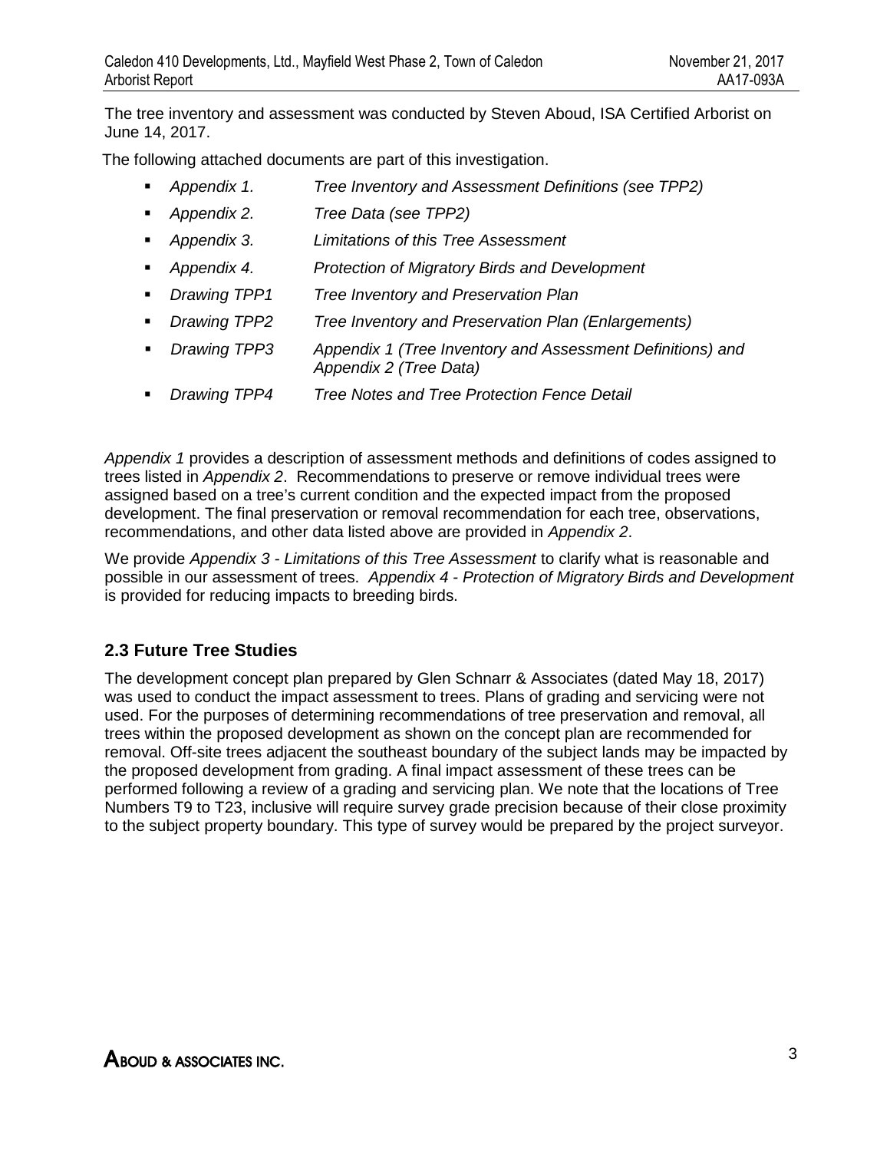The tree inventory and assessment was conducted by Steven Aboud, ISA Certified Arborist on June 14, 2017.

The following attached documents are part of this investigation.

- *Appendix 1. Tree Inventory and Assessment Definitions (see TPP2)*
- *Appendix 2. Tree Data (see TPP2)*
- *Appendix 3. Limitations of this Tree Assessment*
- *Appendix 4. Protection of Migratory Birds and Development*
- *Drawing TPP1 Tree Inventory and Preservation Plan*
- *Drawing TPP2 Tree Inventory and Preservation Plan (Enlargements)*
- *Drawing TPP3 Appendix 1 (Tree Inventory and Assessment Definitions) and Appendix 2 (Tree Data)*
- *Drawing TPP4 Tree Notes and Tree Protection Fence Detail*

*Appendix 1* provides a description of assessment methods and definitions of codes assigned to trees listed in *Appendix 2*. Recommendations to preserve or remove individual trees were assigned based on a tree's current condition and the expected impact from the proposed development. The final preservation or removal recommendation for each tree, observations, recommendations, and other data listed above are provided in *Appendix 2*.

We provide *Appendix 3 - Limitations of this Tree Assessment* to clarify what is reasonable and possible in our assessment of trees. *Appendix 4 - Protection of Migratory Birds and Development* is provided for reducing impacts to breeding birds.

## **2.3 Future Tree Studies**

The development concept plan prepared by Glen Schnarr & Associates (dated May 18, 2017) was used to conduct the impact assessment to trees. Plans of grading and servicing were not used. For the purposes of determining recommendations of tree preservation and removal, all trees within the proposed development as shown on the concept plan are recommended for removal. Off-site trees adjacent the southeast boundary of the subject lands may be impacted by the proposed development from grading. A final impact assessment of these trees can be performed following a review of a grading and servicing plan. We note that the locations of Tree Numbers T9 to T23, inclusive will require survey grade precision because of their close proximity to the subject property boundary. This type of survey would be prepared by the project surveyor.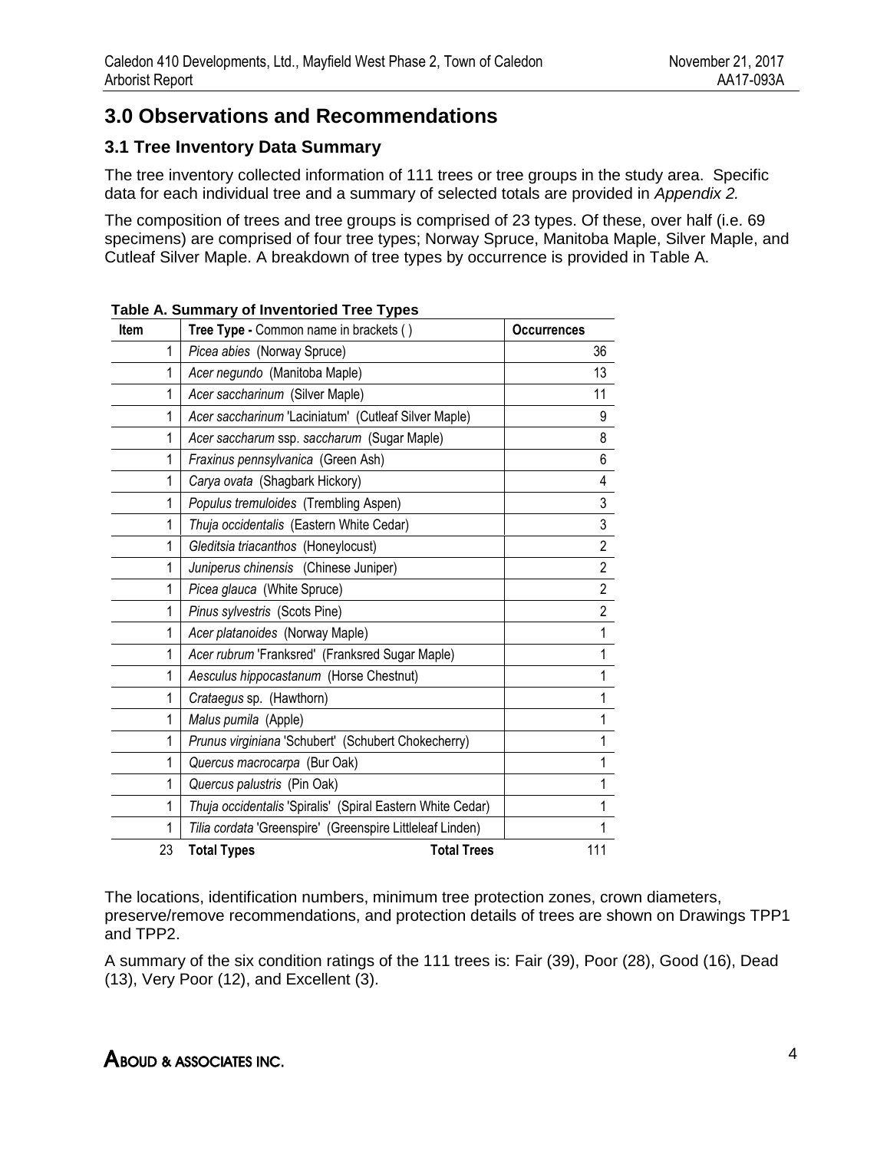# **3.0 Observations and Recommendations**

## **3.1 Tree Inventory Data Summary**

The tree inventory collected information of 111 trees or tree groups in the study area. Specific data for each individual tree and a summary of selected totals are provided in *Appendix 2.*

The composition of trees and tree groups is comprised of 23 types. Of these, over half (i.e. 69 specimens) are comprised of four tree types; Norway Spruce, Manitoba Maple, Silver Maple, and Cutleaf Silver Maple. A breakdown of tree types by occurrence is provided in Table A.

| <b>Item</b> | Tree Type - Common name in brackets ()                     | <b>Occurrences</b> |
|-------------|------------------------------------------------------------|--------------------|
| 1           | Picea abies (Norway Spruce)                                | 36                 |
| 1           | Acer negundo (Manitoba Maple)                              | 13                 |
| 1           | Acer saccharinum (Silver Maple)                            | 11                 |
| 1           | Acer saccharinum 'Laciniatum' (Cutleaf Silver Maple)       | 9                  |
| 1           | Acer saccharum ssp. saccharum (Sugar Maple)                | 8                  |
| 1           | Fraxinus pennsylvanica (Green Ash)                         | 6                  |
| 1           | Carya ovata (Shagbark Hickory)                             | 4                  |
| 1           | Populus tremuloides (Trembling Aspen)                      | 3                  |
| 1           | Thuja occidentalis (Eastern White Cedar)                   | $\mathfrak{z}$     |
| 1           | Gleditsia triacanthos (Honeylocust)                        | $\overline{2}$     |
| 1           | Juniperus chinensis (Chinese Juniper)                      | $\overline{2}$     |
| 1           | Picea glauca (White Spruce)                                | $\overline{2}$     |
| 1           | Pinus sylvestris (Scots Pine)                              | $\overline{2}$     |
| 1           | Acer platanoides (Norway Maple)                            | 1                  |
| 1           | Acer rubrum 'Franksred' (Franksred Sugar Maple)            | 1                  |
| 1           | Aesculus hippocastanum (Horse Chestnut)                    | 1                  |
| 1           | Crataegus sp. (Hawthorn)                                   | 1                  |
| 1           | Malus pumila (Apple)                                       | 1                  |
| 1           | Prunus virginiana 'Schubert' (Schubert Chokecherry)        | 1                  |
| 1           | Quercus macrocarpa (Bur Oak)                               | 1                  |
| 1           | Quercus palustris (Pin Oak)                                | 1                  |
| 1           | Thuja occidentalis 'Spiralis' (Spiral Eastern White Cedar) | 1                  |
| 1           | Tilia cordata 'Greenspire' (Greenspire Littleleaf Linden)  | 1                  |
| 23          | <b>Total Types</b><br><b>Total Trees</b>                   | 111                |

**Table A. Summary of Inventoried Tree Types**

The locations, identification numbers, minimum tree protection zones, crown diameters, preserve/remove recommendations, and protection details of trees are shown on Drawings TPP1 and TPP2.

A summary of the six condition ratings of the 111 trees is: Fair (39), Poor (28), Good (16), Dead (13), Very Poor (12), and Excellent (3).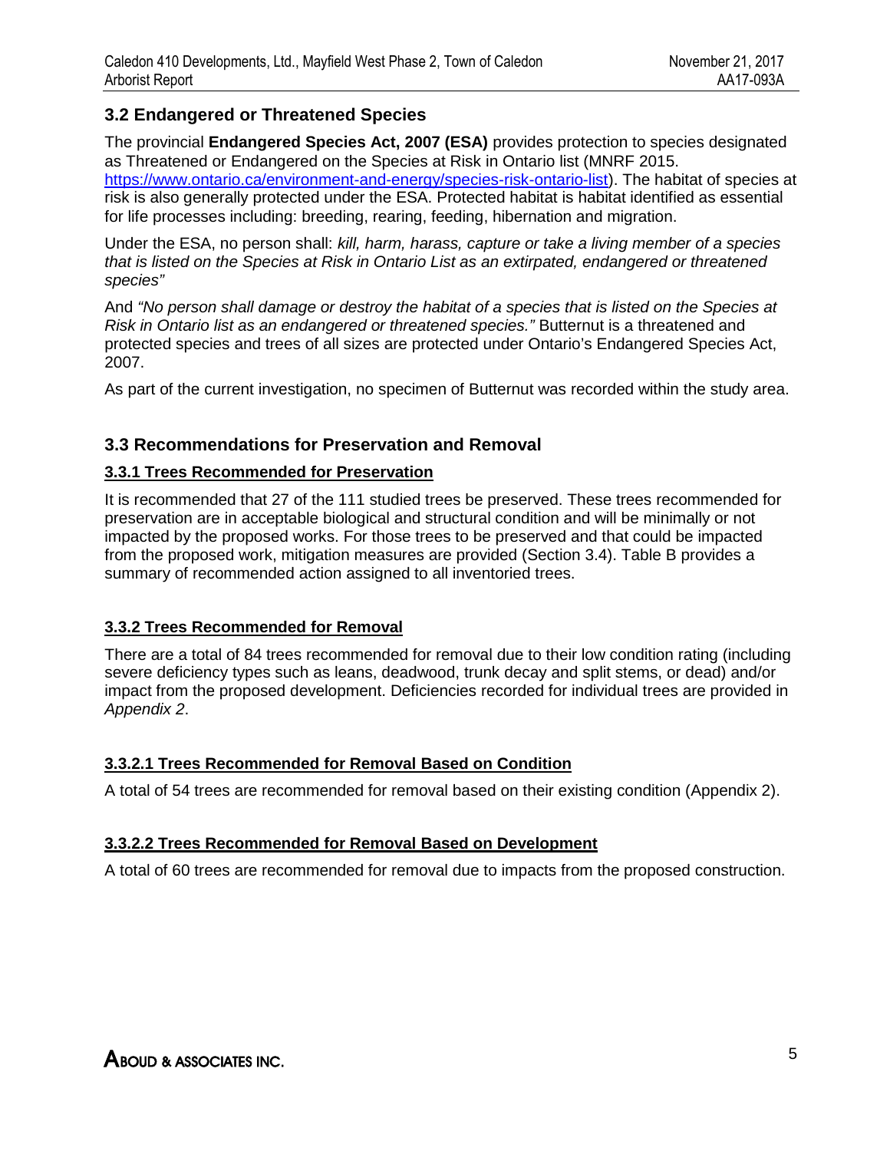## **3.2 Endangered or Threatened Species**

The provincial **Endangered Species Act, 2007 (ESA)** provides protection to species designated as Threatened or Endangered on the Species at Risk in Ontario list (MNRF 2015.

https://www.ontario.ca/environment-and-energy/species-risk-ontario-list). The habitat of species at risk is also generally protected under the ESA. Protected habitat is habitat identified as essential for life processes including: breeding, rearing, feeding, hibernation and migration.

Under the ESA, no person shall: *kill, harm, harass, capture or take a living member of a species that is listed on the Species at Risk in Ontario List as an extirpated, endangered or threatened species"*

And *"No person shall damage or destroy the habitat of a species that is listed on the Species at Risk in Ontario list as an endangered or threatened species."* Butternut is a threatened and protected species and trees of all sizes are protected under Ontario's Endangered Species Act, 2007.

As part of the current investigation, no specimen of Butternut was recorded within the study area.

### **3.3 Recommendations for Preservation and Removal**

### **3.3.1 Trees Recommended for Preservation**

It is recommended that 27 of the 111 studied trees be preserved. These trees recommended for preservation are in acceptable biological and structural condition and will be minimally or not impacted by the proposed works. For those trees to be preserved and that could be impacted from the proposed work, mitigation measures are provided (Section 3.4). Table B provides a summary of recommended action assigned to all inventoried trees.

### **3.3.2 Trees Recommended for Removal**

There are a total of 84 trees recommended for removal due to their low condition rating (including severe deficiency types such as leans, deadwood, trunk decay and split stems, or dead) and/or impact from the proposed development. Deficiencies recorded for individual trees are provided in *Appendix 2*.

### **3.3.2.1 Trees Recommended for Removal Based on Condition**

A total of 54 trees are recommended for removal based on their existing condition (Appendix 2).

### **3.3.2.2 Trees Recommended for Removal Based on Development**

A total of 60 trees are recommended for removal due to impacts from the proposed construction.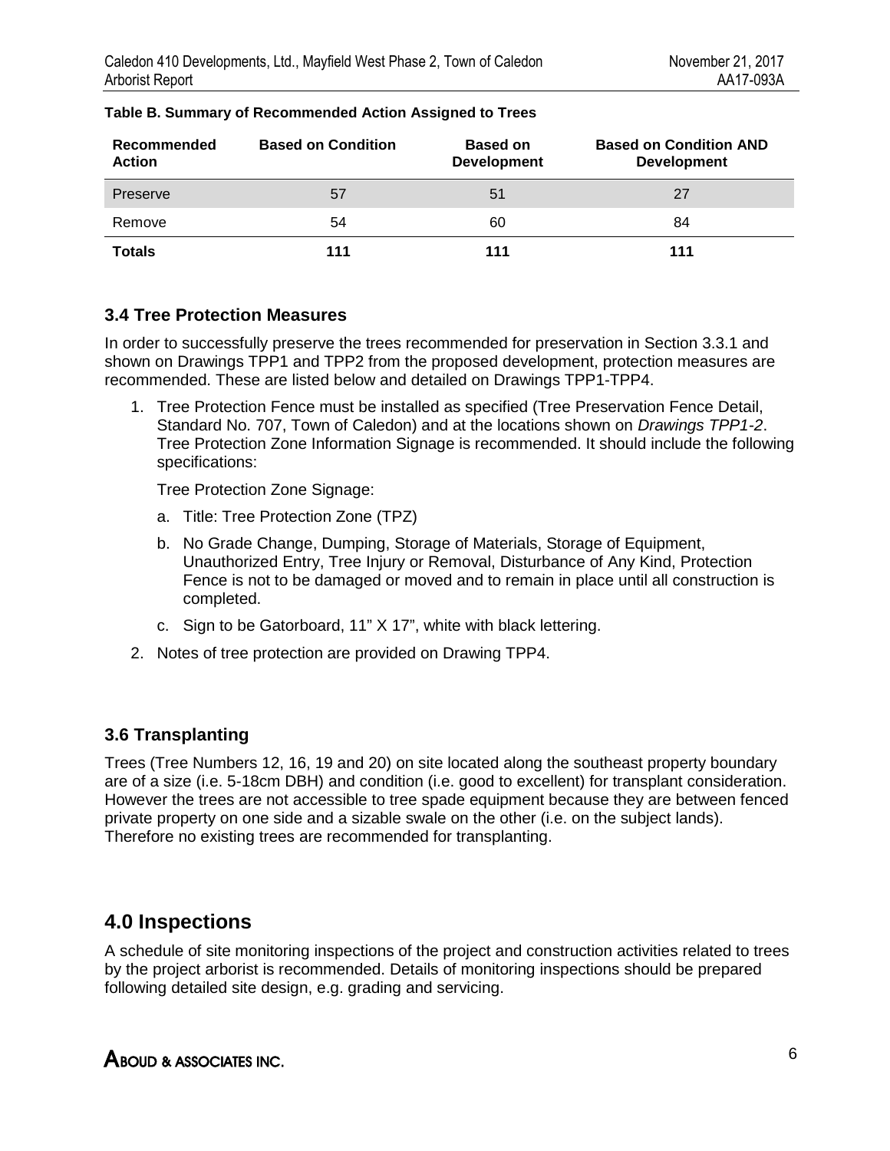| Recommended<br><b>Action</b> | <b>Based on Condition</b> | <b>Based on</b><br><b>Development</b> | <b>Based on Condition AND</b><br><b>Development</b> |
|------------------------------|---------------------------|---------------------------------------|-----------------------------------------------------|
| Preserve                     | 57                        | 51                                    | 27                                                  |
| Remove                       | 54                        | 60                                    | 84                                                  |
| <b>Totals</b>                | 111                       | 111                                   | 111                                                 |

#### **Table B. Summary of Recommended Action Assigned to Trees**

### **3.4 Tree Protection Measures**

In order to successfully preserve the trees recommended for preservation in Section 3.3.1 and shown on Drawings TPP1 and TPP2 from the proposed development, protection measures are recommended. These are listed below and detailed on Drawings TPP1-TPP4.

1. Tree Protection Fence must be installed as specified (Tree Preservation Fence Detail, Standard No. 707, Town of Caledon) and at the locations shown on *Drawings TPP1-2*. Tree Protection Zone Information Signage is recommended. It should include the following specifications:

Tree Protection Zone Signage:

- a. Title: Tree Protection Zone (TPZ)
- b. No Grade Change, Dumping, Storage of Materials, Storage of Equipment, Unauthorized Entry, Tree Injury or Removal, Disturbance of Any Kind, Protection Fence is not to be damaged or moved and to remain in place until all construction is completed.
- c. Sign to be Gatorboard, 11" X 17", white with black lettering.
- 2. Notes of tree protection are provided on Drawing TPP4.

### **3.6 Transplanting**

Trees (Tree Numbers 12, 16, 19 and 20) on site located along the southeast property boundary are of a size (i.e. 5-18cm DBH) and condition (i.e. good to excellent) for transplant consideration. However the trees are not accessible to tree spade equipment because they are between fenced private property on one side and a sizable swale on the other (i.e. on the subject lands). Therefore no existing trees are recommended for transplanting.

## **4.0 Inspections**

A schedule of site monitoring inspections of the project and construction activities related to trees by the project arborist is recommended. Details of monitoring inspections should be prepared following detailed site design, e.g. grading and servicing.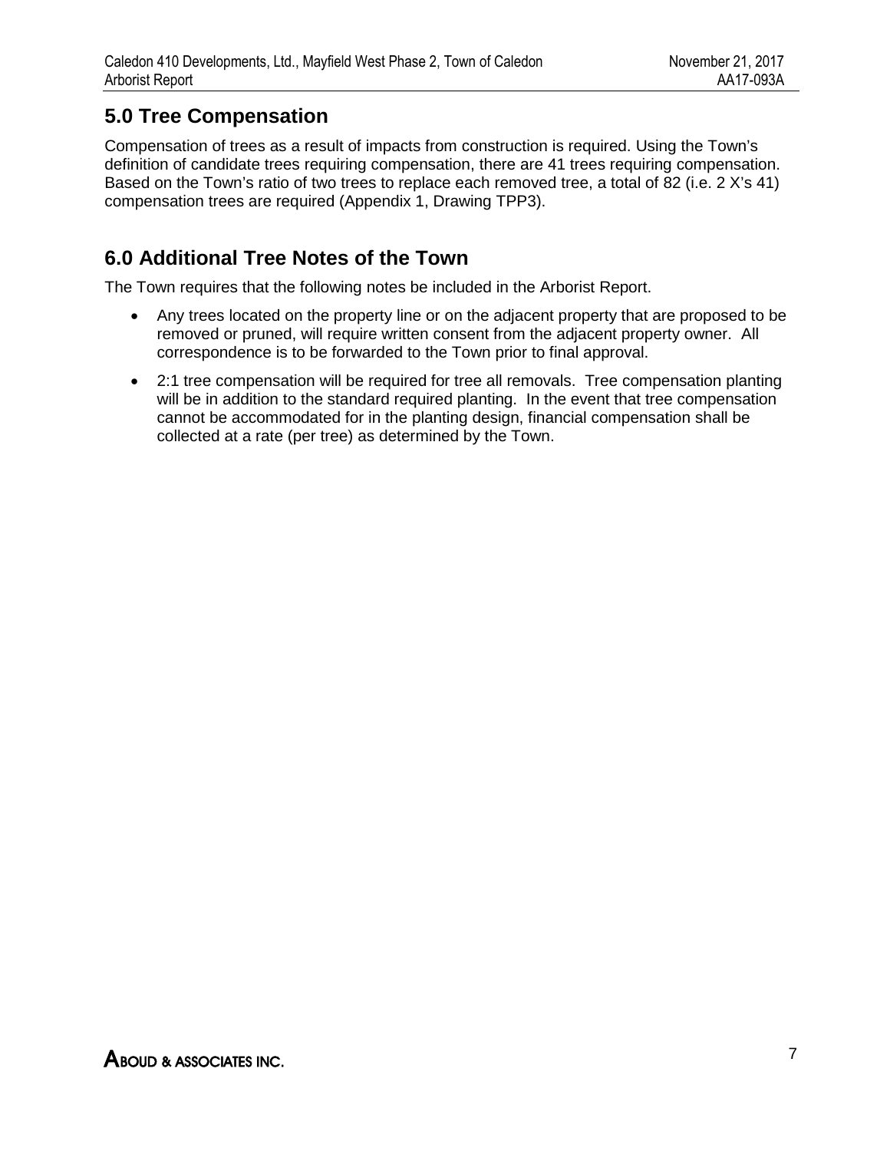# **5.0 Tree Compensation**

Compensation of trees as a result of impacts from construction is required. Using the Town's definition of candidate trees requiring compensation, there are 41 trees requiring compensation. Based on the Town's ratio of two trees to replace each removed tree, a total of 82 (i.e. 2 X's 41) compensation trees are required (Appendix 1, Drawing TPP3).

# **6.0 Additional Tree Notes of the Town**

The Town requires that the following notes be included in the Arborist Report.

- Any trees located on the property line or on the adjacent property that are proposed to be removed or pruned, will require written consent from the adjacent property owner. All correspondence is to be forwarded to the Town prior to final approval.
- 2:1 tree compensation will be required for tree all removals. Tree compensation planting will be in addition to the standard required planting. In the event that tree compensation cannot be accommodated for in the planting design, financial compensation shall be collected at a rate (per tree) as determined by the Town.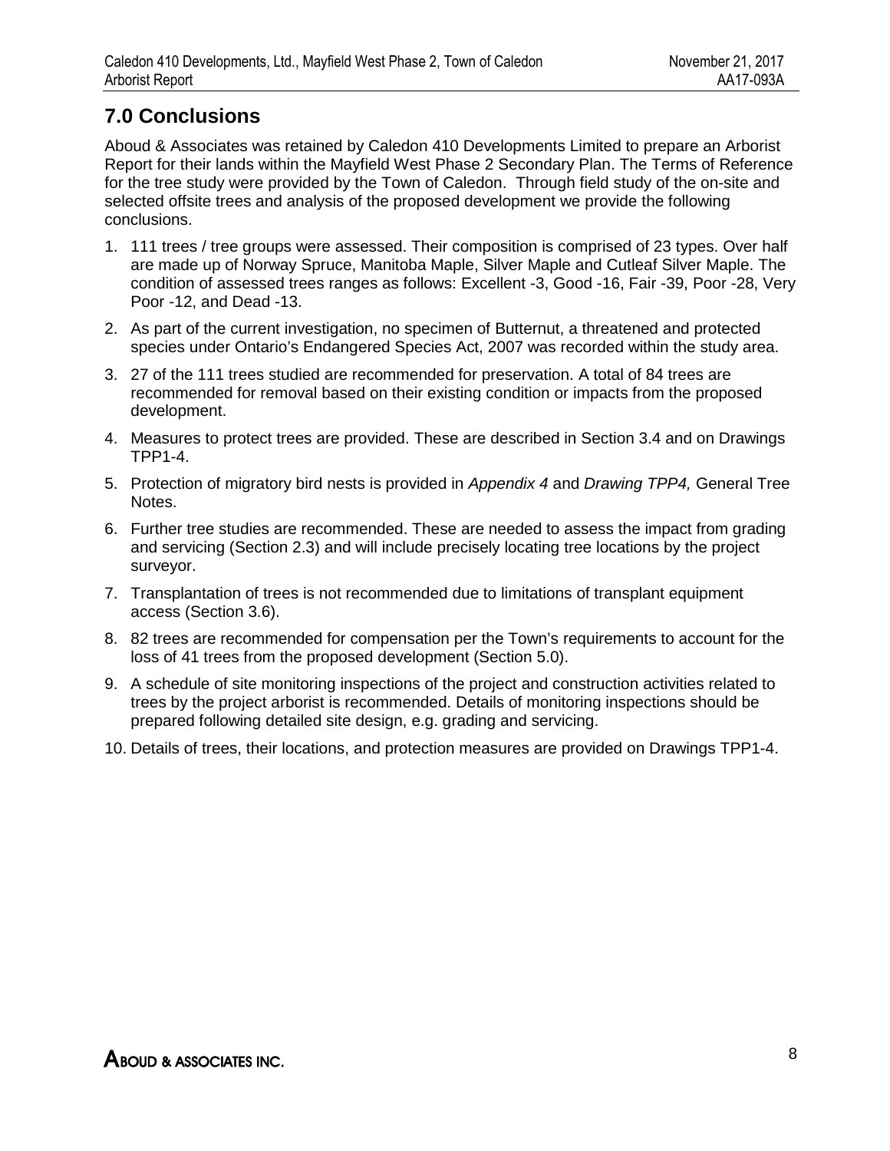# **7.0 Conclusions**

Aboud & Associates was retained by Caledon 410 Developments Limited to prepare an Arborist Report for their lands within the Mayfield West Phase 2 Secondary Plan. The Terms of Reference for the tree study were provided by the Town of Caledon. Through field study of the on-site and selected offsite trees and analysis of the proposed development we provide the following conclusions.

- 1. 111 trees / tree groups were assessed. Their composition is comprised of 23 types. Over half are made up of Norway Spruce, Manitoba Maple, Silver Maple and Cutleaf Silver Maple. The condition of assessed trees ranges as follows: Excellent -3, Good -16, Fair -39, Poor -28, Very Poor -12, and Dead -13.
- 2. As part of the current investigation, no specimen of Butternut, a threatened and protected species under Ontario's Endangered Species Act, 2007 was recorded within the study area.
- 3. 27 of the 111 trees studied are recommended for preservation. A total of 84 trees are recommended for removal based on their existing condition or impacts from the proposed development.
- 4. Measures to protect trees are provided. These are described in Section 3.4 and on Drawings TPP1-4.
- 5. Protection of migratory bird nests is provided in *Appendix 4* and *Drawing TPP4,* General Tree Notes.
- 6. Further tree studies are recommended. These are needed to assess the impact from grading and servicing (Section 2.3) and will include precisely locating tree locations by the project surveyor.
- 7. Transplantation of trees is not recommended due to limitations of transplant equipment access (Section 3.6).
- 8. 82 trees are recommended for compensation per the Town's requirements to account for the loss of 41 trees from the proposed development (Section 5.0).
- 9. A schedule of site monitoring inspections of the project and construction activities related to trees by the project arborist is recommended. Details of monitoring inspections should be prepared following detailed site design, e.g. grading and servicing.
- 10. Details of trees, their locations, and protection measures are provided on Drawings TPP1-4.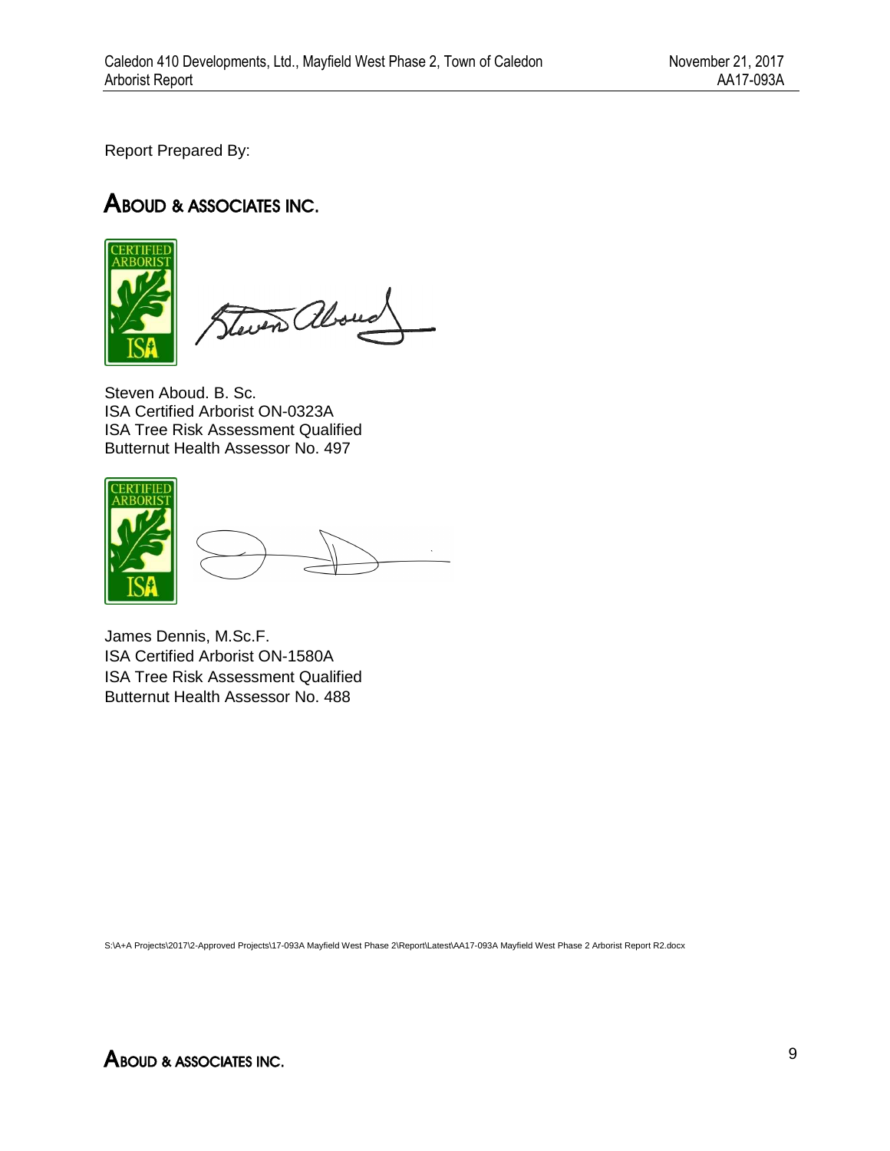Report Prepared By:

# ABOUD & ASSOCIATES INC.



Steven also

Steven Aboud. B. Sc. ISA Certified Arborist ON-0323A ISA Tree Risk Assessment Qualified Butternut Health Assessor No. 497



James Dennis, M.Sc.F. ISA Certified Arborist ON-1580A ISA Tree Risk Assessment Qualified Butternut Health Assessor No. 488

S:\A+A Projects\2017\2-Approved Projects\17-093A Mayfield West Phase 2\Report\Latest\AA17-093A Mayfield West Phase 2 Arborist Report R2.docx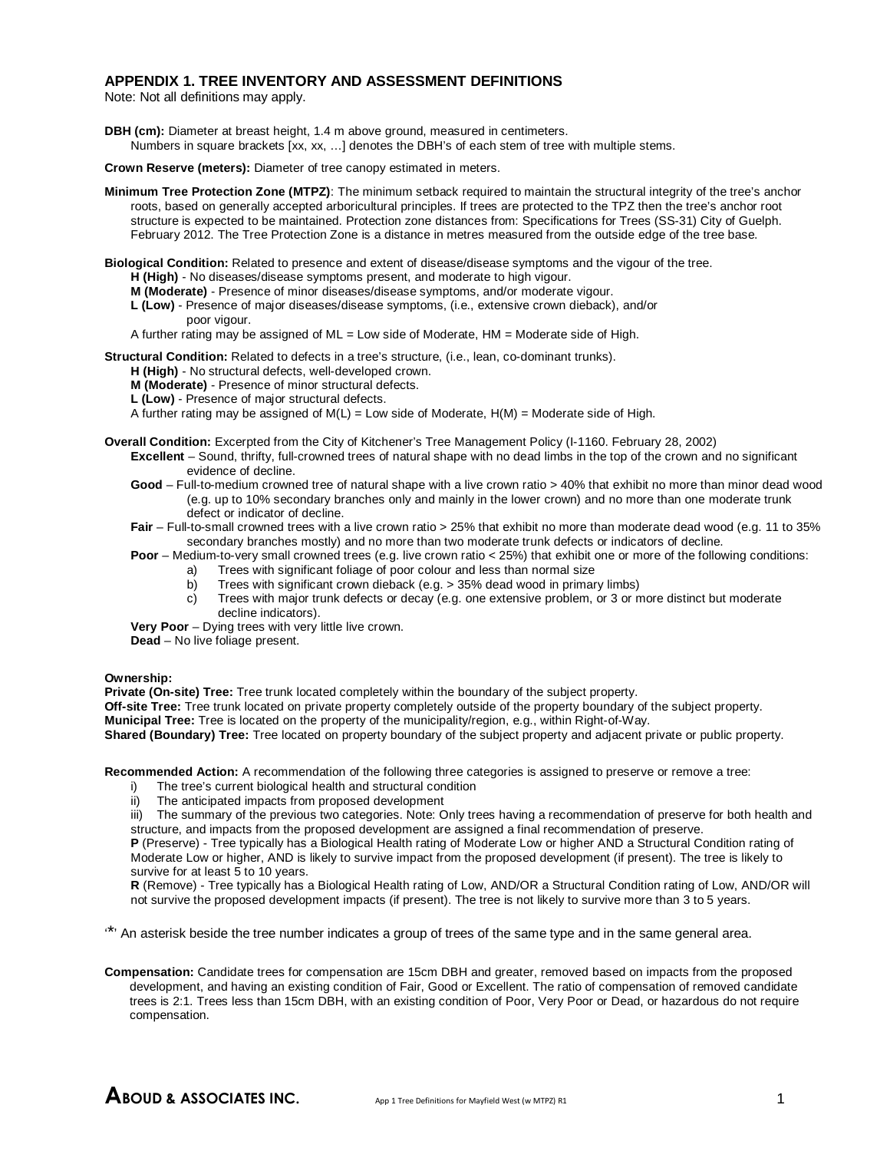#### **APPENDIX 1. TREE INVENTORY AND ASSESSMENT DEFINITIONS**

Note: Not all definitions may apply.

**DBH (cm):** Diameter at breast height, 1.4 m above ground, measured in centimeters. Numbers in square brackets [xx, xx, …] denotes the DBH's of each stem of tree with multiple stems.

**Crown Reserve (meters):** Diameter of tree canopy estimated in meters.

**Minimum Tree Protection Zone (MTPZ)**: The minimum setback required to maintain the structural integrity of the tree's anchor roots, based on generally accepted arboricultural principles. If trees are protected to the TPZ then the tree's anchor root structure is expected to be maintained. Protection zone distances from: Specifications for Trees (SS-31) City of Guelph. February 2012. The Tree Protection Zone is a distance in metres measured from the outside edge of the tree base.

**Biological Condition:** Related to presence and extent of disease/disease symptoms and the vigour of the tree.

- **H (High)** No diseases/disease symptoms present, and moderate to high vigour.
- **M (Moderate)** Presence of minor diseases/disease symptoms, and/or moderate vigour.
- **L (Low)** Presence of major diseases/disease symptoms, (i.e., extensive crown dieback), and/or poor vigour.
- A further rating may be assigned of ML = Low side of Moderate, HM = Moderate side of High.

**Structural Condition:** Related to defects in a tree's structure, (i.e., lean, co-dominant trunks).

**H (High)** - No structural defects, well-developed crown.

**M (Moderate)** - Presence of minor structural defects.

**L (Low)** - Presence of major structural defects.

A further rating may be assigned of  $M(L) = Low$  side of Moderate,  $H(M) = Mow$  and  $E$  side of High.

#### **Overall Condition:** Excerpted from the City of Kitchener's Tree Management Policy (I-1160. February 28, 2002)

- **Excellent** Sound, thrifty, full-crowned trees of natural shape with no dead limbs in the top of the crown and no significant evidence of decline.
- **Good** Full-to-medium crowned tree of natural shape with a live crown ratio > 40% that exhibit no more than minor dead wood (e.g. up to 10% secondary branches only and mainly in the lower crown) and no more than one moderate trunk defect or indicator of decline.
- Fair Full-to-small crowned trees with a live crown ratio > 25% that exhibit no more than moderate dead wood (e.g. 11 to 35% secondary branches mostly) and no more than two moderate trunk defects or indicators of decline.

**Poor** – Medium-to-very small crowned trees (e.g. live crown ratio < 25%) that exhibit one or more of the following conditions:

- a) Trees with significant foliage of poor colour and less than normal size<br>b) Trees with significant crown dieback (e.g. > 35% dead wood in primar
- b) Trees with significant crown dieback (e.g. > 35% dead wood in primary limbs)
- c) Trees with major trunk defects or decay (e.g. one extensive problem, or 3 or more distinct but moderate decline indicators).

**Very Poor** – Dying trees with very little live crown. **Dead** – No live foliage present.

#### **Ownership:**

**Private (On-site) Tree:** Tree trunk located completely within the boundary of the subject property.

**Off-site Tree:** Tree trunk located on private property completely outside of the property boundary of the subject property.

**Municipal Tree:** Tree is located on the property of the municipality/region, e.g., within Right-of-Way.

**Shared (Boundary) Tree:** Tree located on property boundary of the subject property and adjacent private or public property.

**Recommended Action:** A recommendation of the following three categories is assigned to preserve or remove a tree:

- i) The tree's current biological health and structural condition
- ii) The anticipated impacts from proposed development

iii) The summary of the previous two categories. Note: Only trees having a recommendation of preserve for both health and structure, and impacts from the proposed development are assigned a final recommendation of preserve.

**P** (Preserve) - Tree typically has a Biological Health rating of Moderate Low or higher AND a Structural Condition rating of Moderate Low or higher, AND is likely to survive impact from the proposed development (if present). The tree is likely to survive for at least 5 to 10 years.

**R** (Remove) - Tree typically has a Biological Health rating of Low, AND/OR a Structural Condition rating of Low, AND/OR will not survive the proposed development impacts (if present). The tree is not likely to survive more than 3 to 5 years.

'\*' An asterisk beside the tree number indicates a group of trees of the same type and in the same general area.

**Compensation:** Candidate trees for compensation are 15cm DBH and greater, removed based on impacts from the proposed development, and having an existing condition of Fair, Good or Excellent. The ratio of compensation of removed candidate trees is 2:1. Trees less than 15cm DBH, with an existing condition of Poor, Very Poor or Dead, or hazardous do not require compensation.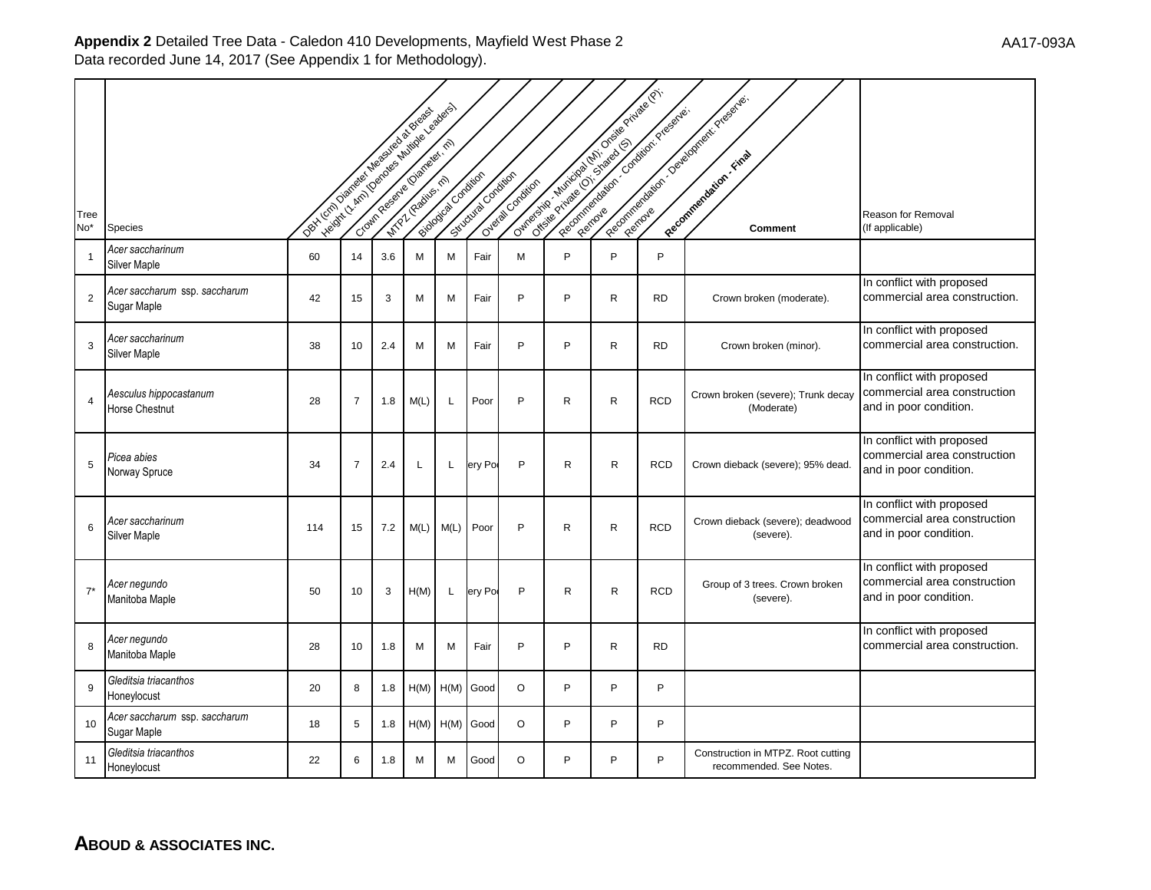|                |                                              | Opt. London Mariagn Magazine & Brazil |                |     | Velocity - Amin (Democratic Music de de La des Bassa) |                         |                     |                   |              | Outros de Joseph Lubrick Britains de Britains Britains<br>Report for the contract of closer establishment |            | Recognization of Dealborner Price of the                      |                                                                                     |
|----------------|----------------------------------------------|---------------------------------------|----------------|-----|-------------------------------------------------------|-------------------------|---------------------|-------------------|--------------|-----------------------------------------------------------------------------------------------------------|------------|---------------------------------------------------------------|-------------------------------------------------------------------------------------|
| Tree<br>No*    | <b>Species</b>                               |                                       |                |     |                                                       | Biodography oxideration | Schoolway Condition | Overage Condition |              |                                                                                                           |            | Comment                                                       | Reason for Removal<br>(If applicable)                                               |
| $\overline{1}$ | Acer saccharinum<br>Silver Maple             | 60                                    | 14             | 3.6 | M                                                     | M                       | Fair                | M                 | P            | P                                                                                                         | P          |                                                               |                                                                                     |
| $\overline{2}$ | Acer saccharum ssp. saccharum<br>Sugar Maple | 42                                    | 15             | 3   | M                                                     | M                       | Fair                | P                 | P            | R                                                                                                         | <b>RD</b>  | Crown broken (moderate).                                      | In conflict with proposed<br>commercial area construction.                          |
| 3              | Acer saccharinum<br>Silver Maple             | 38                                    | 10             | 2.4 | M                                                     | M                       | Fair                | P                 | P            | R                                                                                                         | <b>RD</b>  | Crown broken (minor).                                         | In conflict with proposed<br>commercial area construction.                          |
| $\overline{4}$ | Aesculus hippocastanum<br>Horse Chestnut     | 28                                    | $\overline{7}$ | 1.8 | M(L)                                                  | L                       | Poor                | P                 | R            | R                                                                                                         | <b>RCD</b> | Crown broken (severe); Trunk decay<br>(Moderate)              | In conflict with proposed<br>commercial area construction<br>and in poor condition. |
| 5              | Picea abies<br>Norway Spruce                 | 34                                    | $\overline{7}$ | 2.4 | L                                                     | L                       | ery Po              | P                 | $\mathsf{R}$ | R                                                                                                         | <b>RCD</b> | Crown dieback (severe); 95% dead.                             | In conflict with proposed<br>commercial area construction<br>and in poor condition. |
| 6              | Acer saccharinum<br>Silver Maple             | 114                                   | 15             | 7.2 | M(L)                                                  | M(L)                    | Poor                | P                 | R            | R                                                                                                         | <b>RCD</b> | Crown dieback (severe); deadwood<br>(severe).                 | In conflict with proposed<br>commercial area construction<br>and in poor condition. |
| $7^*$          | Acer negundo<br>Manitoba Maple               | 50                                    | 10             | 3   | H(M)                                                  | L                       | ery Por             | P                 | $\mathsf{R}$ | R.                                                                                                        | <b>RCD</b> | Group of 3 trees. Crown broken<br>(severe).                   | In conflict with proposed<br>commercial area construction<br>and in poor condition. |
| 8              | Acer negundo<br>Manitoba Maple               | 28                                    | 10             | 1.8 | М                                                     | M                       | Fair                | P                 | P            | R                                                                                                         | <b>RD</b>  |                                                               | In conflict with proposed<br>commercial area construction.                          |
| 9              | Gleditsia triacanthos<br>Honeylocust         | 20                                    | 8              | 1.8 | H(M)                                                  | H(M)                    | Good                | $\circ$           | P            | P                                                                                                         | P          |                                                               |                                                                                     |
| 10             | Acer saccharum ssp. saccharum<br>Sugar Maple | 18                                    | 5              | 1.8 | H(M)                                                  | H(M)                    | Good                | $\circ$           | P            | P                                                                                                         | P          |                                                               |                                                                                     |
| 11             | Gleditsia triacanthos<br>Honeylocust         | 22                                    | 6              | 1.8 | М                                                     | м                       | Good                | $\circ$           | P            | P                                                                                                         | P          | Construction in MTPZ. Root cutting<br>recommended. See Notes. |                                                                                     |

**ABOUD & ASSOCIATES INC.**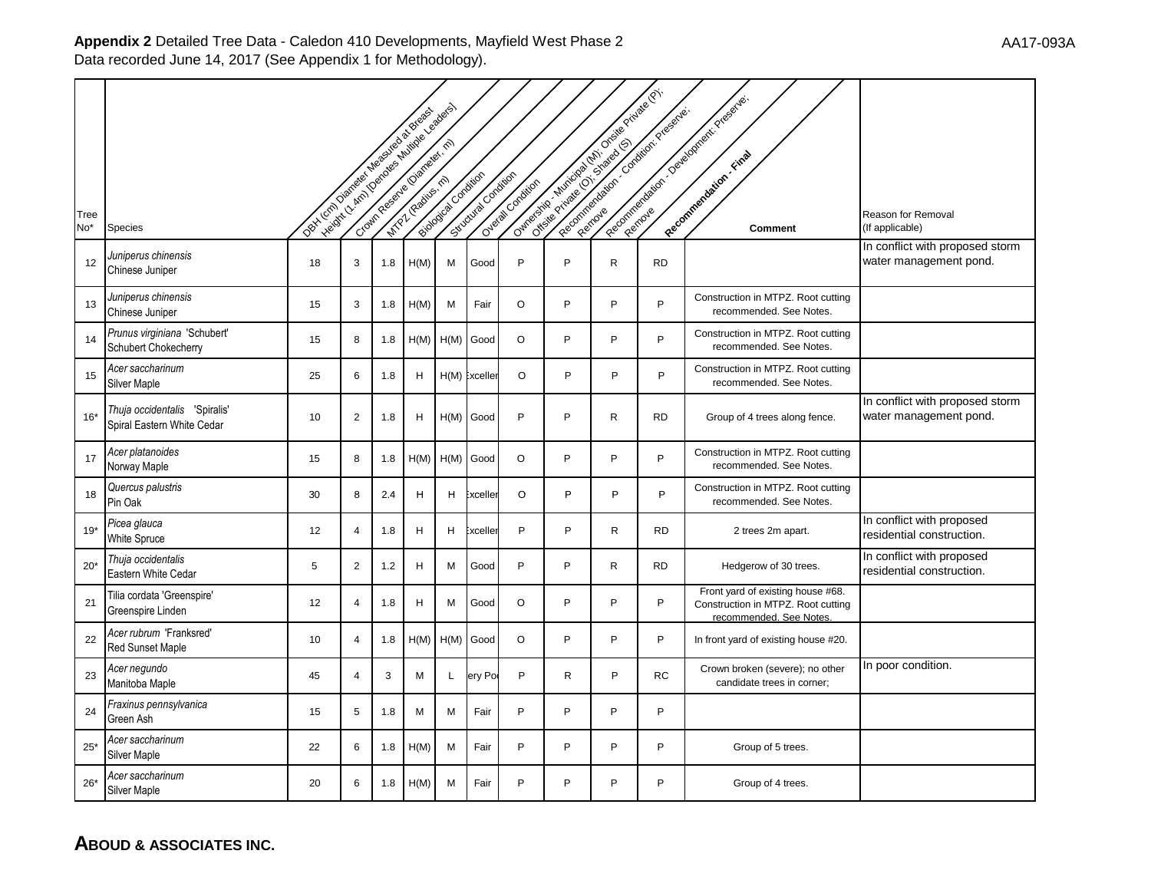|                         |                                                             | Dex London Democracies in Board of Bridge |                |     | Height / Am / Denotes a Millione of Bandagas |                    |                     |                  |    | Our Original River Manufacture of the Private Private Critics | Recognization of Contract viewers. | Reporting to the Collapse of President                                                             |                                                           |
|-------------------------|-------------------------------------------------------------|-------------------------------------------|----------------|-----|----------------------------------------------|--------------------|---------------------|------------------|----|---------------------------------------------------------------|------------------------------------|----------------------------------------------------------------------------------------------------|-----------------------------------------------------------|
| Tree<br>No <sup>*</sup> | Species                                                     |                                           |                |     |                                              | Buddalous Candidas | Schoolway Condition | Overal Condition |    |                                                               |                                    | Comment                                                                                            | <b>Reason for Removal</b><br>(If applicable)              |
| 12                      | Juniperus chinensis<br>Chinese Juniper                      | 18                                        | 3              | 1.8 | H(M)                                         | М                  | Good                | P                | P  | R                                                             | <b>RD</b>                          |                                                                                                    | In conflict with proposed storm<br>water management pond. |
| 13                      | Juniperus chinensis<br>Chinese Juniper                      | 15                                        | 3              | 1.8 | H(M)                                         | M                  | Fair                | $\circ$          | P  | P                                                             | P                                  | Construction in MTPZ. Root cutting<br>recommended. See Notes.                                      |                                                           |
| 14                      | Prunus virginiana 'Schubert'<br>Schubert Chokecherry        | 15                                        | 8              | 1.8 | H(M)                                         | H(M)               | Good                | $\circ$          | P  | P                                                             | P                                  | Construction in MTPZ. Root cutting<br>recommended. See Notes.                                      |                                                           |
| 15                      | Acer saccharinum<br>Silver Maple                            | 25                                        | 6              | 1.8 | H                                            |                    | H(M) Exceller       | O                | P  | P                                                             | P                                  | Construction in MTPZ. Root cutting<br>recommended. See Notes.                                      |                                                           |
| $16*$                   | Thuja occidentalis 'Spiralis'<br>Spiral Eastern White Cedar | 10                                        | $\overline{2}$ | 1.8 | H                                            | H(M)               | Good                | P                | P  | R                                                             | <b>RD</b>                          | Group of 4 trees along fence.                                                                      | In conflict with proposed storm<br>water management pond. |
| 17                      | Acer platanoides<br>Norway Maple                            | 15                                        | 8              | 1.8 | H(M)                                         |                    | H(M) Good           | $\circ$          | P  | P                                                             | P                                  | Construction in MTPZ. Root cutting<br>recommended. See Notes.                                      |                                                           |
| 18                      | Quercus palustris<br>Pin Oak                                | 30                                        | 8              | 2.4 | H                                            | H                  | Exceller            | O                | P  | P                                                             | P                                  | Construction in MTPZ. Root cutting<br>recommended. See Notes.                                      |                                                           |
| $19*$                   | Picea glauca<br><b>White Spruce</b>                         | 12                                        | 4              | 1.8 | H.                                           | H                  | :xcelleı            | P                | P  | $\mathsf{R}$                                                  | <b>RD</b>                          | 2 trees 2m apart.                                                                                  | In conflict with proposed<br>residential construction.    |
| $20*$                   | Thuja occidentalis<br>Eastern White Cedar                   | 5                                         | $\overline{2}$ | 1.2 | H                                            | М                  | Good                | P                | P  | $\mathsf{R}$                                                  | <b>RD</b>                          | Hedgerow of 30 trees.                                                                              | In conflict with proposed<br>residential construction.    |
| 21                      | Tilia cordata 'Greenspire'<br>Greenspire Linden             | 12                                        | $\overline{4}$ | 1.8 | H                                            | М                  | Good                | $\circ$          | P  | P                                                             | P                                  | Front yard of existing house #68.<br>Construction in MTPZ. Root cutting<br>recommended. See Notes. |                                                           |
| 22                      | Acer rubrum 'Franksred'<br><b>Red Sunset Maple</b>          | 10                                        | $\overline{4}$ | 1.8 | H(M)                                         | H(M)               | Good                | $\circ$          | P  | P                                                             | P                                  | In front yard of existing house #20.                                                               |                                                           |
| 23                      | Acer negundo<br>Manitoba Maple                              | 45                                        | $\overline{4}$ | 3   | M                                            | L                  | ery Po              | P                | R. | P                                                             | <b>RC</b>                          | Crown broken (severe); no other<br>candidate trees in corner;                                      | In poor condition.                                        |
| 24                      | Fraxinus pennsylvanica<br>Green Ash                         | 15                                        | 5              | 1.8 | M                                            | М                  | Fair                | P                | P  | P                                                             | P                                  |                                                                                                    |                                                           |
| $25*$                   | Acer saccharinum<br>Silver Maple                            | 22                                        | 6              | 1.8 | H(M)                                         | M                  | Fair                | P                | P  | P                                                             | P                                  | Group of 5 trees.                                                                                  |                                                           |
| $26*$                   | Acer saccharinum<br><b>Silver Maple</b>                     | 20                                        | 6              | 1.8 | H(M)                                         | M                  | Fair                | P                | P  | P                                                             | P                                  | Group of 4 trees.                                                                                  |                                                           |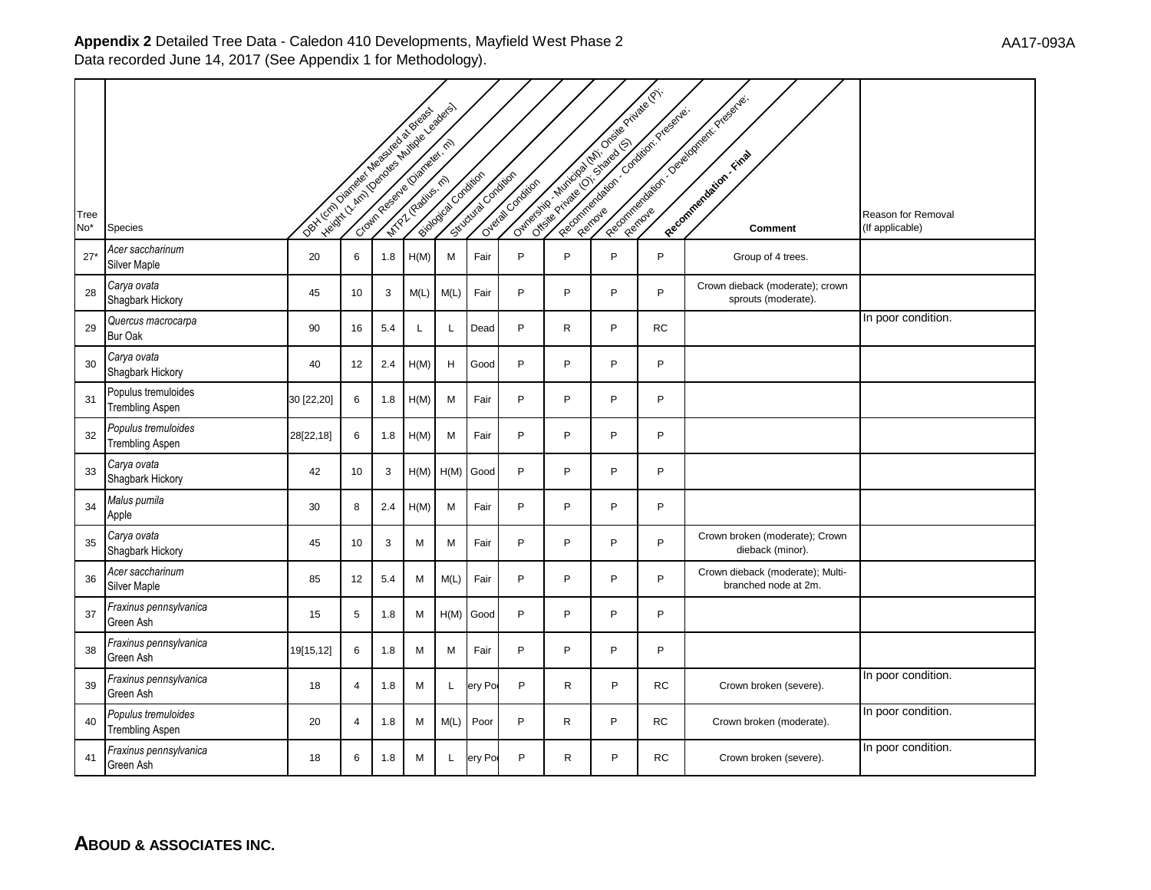|             |                                               | Dex Local Devices in each of a baselos |    |     | Ivelant, Camillon des Amillons de Bassadors | Bookstan Condition | Situativa Ondition |                   |              | Outrosite of children of the control of the children of the children<br>Reprinted Manufacturer Constitution Programs. |           | Reconnection of the content of the section               |                                       |
|-------------|-----------------------------------------------|----------------------------------------|----|-----|---------------------------------------------|--------------------|--------------------|-------------------|--------------|-----------------------------------------------------------------------------------------------------------------------|-----------|----------------------------------------------------------|---------------------------------------|
| Tree<br>No* | Species                                       |                                        |    |     |                                             |                    |                    | Overage Condition |              |                                                                                                                       |           | <b>Comment</b>                                           | Reason for Removal<br>(If applicable) |
| $27*$       | Acer saccharinum<br>Silver Maple              | 20                                     | 6  | 1.8 | H(M)                                        | М                  | Fair               | P                 | P            | P                                                                                                                     | P         | Group of 4 trees.                                        |                                       |
| 28          | Carya ovata<br>Shagbark Hickory               | 45                                     | 10 | 3   | M(L)                                        | M(L)               | Fair               | P                 | P            | P                                                                                                                     | P         | Crown dieback (moderate); crown<br>sprouts (moderate).   |                                       |
| 29          | Quercus macrocarpa<br>Bur Oak                 | 90                                     | 16 | 5.4 | L                                           | L                  | Dead               | P                 | R            | P                                                                                                                     | RC        |                                                          | In poor condition.                    |
| 30          | Carya ovata<br>Shagbark Hickory               | 40                                     | 12 | 2.4 | H(M)                                        | H                  | Good               | P                 | P            | P                                                                                                                     | P         |                                                          |                                       |
| 31          | Populus tremuloides<br><b>Trembling Aspen</b> | 30 [22,20]                             | 6  | 1.8 | H(M)                                        | M                  | Fair               | P                 | P            | P                                                                                                                     | P         |                                                          |                                       |
| 32          | Populus tremuloides<br>Trembling Aspen        | 28[22,18]                              | 6  | 1.8 | H(M)                                        | М                  | Fair               | P                 | P            | P                                                                                                                     | P         |                                                          |                                       |
| 33          | Carya ovata<br>Shagbark Hickory               | 42                                     | 10 | 3   | H(M)                                        |                    | H(M) Good          | P                 | P            | P                                                                                                                     | P         |                                                          |                                       |
| 34          | Malus pumila<br>Apple                         | 30                                     | 8  | 2.4 | H(M)                                        | M                  | Fair               | P                 | P            | P                                                                                                                     | P         |                                                          |                                       |
| 35          | Carya ovata<br>Shagbark Hickory               | 45                                     | 10 | 3   | М                                           | M                  | Fair               | P                 | P            | P                                                                                                                     | P         | Crown broken (moderate); Crown<br>dieback (minor).       |                                       |
| 36          | Acer saccharinum<br>Silver Maple              | 85                                     | 12 | 5.4 | М                                           | M(L)               | Fair               | P                 | P            | P                                                                                                                     | P         | Crown dieback (moderate); Multi-<br>branched node at 2m. |                                       |
| 37          | Fraxinus pennsylvanica<br>Green Ash           | 15                                     | 5  | 1.8 | М                                           |                    | H(M) Good          | P                 | P            | P                                                                                                                     | P         |                                                          |                                       |
| 38          | Fraxinus pennsylvanica<br>Green Ash           | 19[15,12]                              | 6  | 1.8 | M                                           | M                  | Fair               | P                 | P            | P                                                                                                                     | P         |                                                          |                                       |
| 39          | Fraxinus pennsylvanica<br>Green Ash           | 18                                     | 4  | 1.8 | М                                           | L                  | ery Por            | P                 | R            | P                                                                                                                     | RC        | Crown broken (severe).                                   | In poor condition.                    |
| 40          | Populus tremuloides<br>Trembling Aspen        | 20                                     | 4  | 1.8 | м                                           | M(L)               | Poor               | P                 | $\mathsf{R}$ | P                                                                                                                     | RC        | Crown broken (moderate).                                 | In poor condition.                    |
| 41          | Fraxinus pennsylvanica<br>Green Ash           | 18                                     | 6  | 1.8 | м                                           | L                  | ery Po             | P                 | R            | P                                                                                                                     | <b>RC</b> | Crown broken (severe).                                   | In poor condition.                    |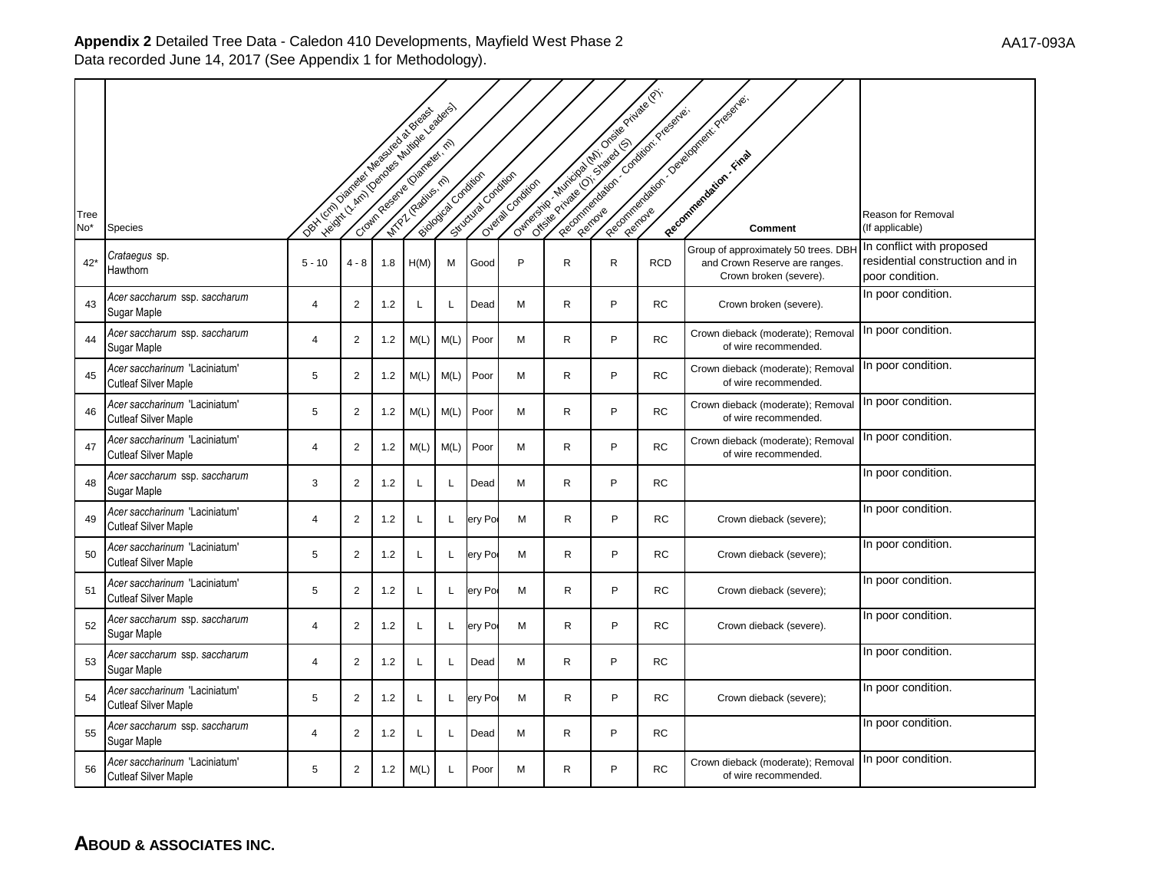|             |                                                              |                                              | Leading Company of Million Branch and |       |      |                      |                    |                    |              | Outros de la registración de la registración de la<br>Reporting of the Constitution Program |            | Reconciliation of Development President                                                         |                                                                                 |
|-------------|--------------------------------------------------------------|----------------------------------------------|---------------------------------------|-------|------|----------------------|--------------------|--------------------|--------------|---------------------------------------------------------------------------------------------|------------|-------------------------------------------------------------------------------------------------|---------------------------------------------------------------------------------|
| Tree<br>No* | Species                                                      | Dex London Demonstrated Mediated as Brigades |                                       |       |      | Biological Oxfortion | Situativa ondition | Overland Condition |              |                                                                                             |            | Comment                                                                                         | Reason for Removal<br>(If applicable)                                           |
| $42*$       | <i>Crataegus s</i> p.<br>Hawthorn                            | $5 - 10$                                     | 4 - 8                                 | 1.8   | H(M) | M                    | Good               | P                  | R            | R                                                                                           | <b>RCD</b> | Group of approximately 50 trees. DBH<br>and Crown Reserve are ranges.<br>Crown broken (severe). | In conflict with proposed<br>residential construction and in<br>poor condition. |
| 43          | Acer saccharum ssp. saccharum<br>Sugar Maple                 | 4                                            | $\overline{2}$                        | 1.2   | L    | L                    | Dead               | M                  | $\mathsf{R}$ | P                                                                                           | <b>RC</b>  | Crown broken (severe).                                                                          | In poor condition.                                                              |
| 44          | Acer saccharum ssp. saccharum<br>Sugar Maple                 | 4                                            | $\overline{2}$                        | $1.2$ | M(L) | M(L)                 | Poor               | M                  | R            | P                                                                                           | <b>RC</b>  | Crown dieback (moderate); Removal<br>of wire recommended.                                       | In poor condition.                                                              |
| 45          | Acer saccharinum 'Laciniatum'<br><b>Cutleaf Silver Maple</b> | 5                                            | $\overline{2}$                        | 1.2   | M(L) | M(L)                 | Poor               | M                  | R            | P                                                                                           | <b>RC</b>  | Crown dieback (moderate); Remova<br>of wire recommended.                                        | In poor condition.                                                              |
| 46          | Acer saccharinum 'Laciniatum'<br>Cutleaf Silver Maple        | 5                                            | $\overline{2}$                        | 1.2   | M(L) | M(L)                 | Poor               | M                  | R            | P                                                                                           | <b>RC</b>  | Crown dieback (moderate); Removal<br>of wire recommended.                                       | In poor condition.                                                              |
| 47          | Acer saccharinum 'Laciniatum'<br><b>Cutleaf Silver Maple</b> | 4                                            | $\overline{2}$                        | 1.2   | M(L) | M(L)                 | Poor               | M                  | $\mathsf{R}$ | P                                                                                           | <b>RC</b>  | Crown dieback (moderate); Removal<br>of wire recommended.                                       | In poor condition.                                                              |
| 48          | Acer saccharum ssp. saccharum<br>Sugar Maple                 | 3                                            | $\overline{c}$                        | $1.2$ | L    | L                    | Dead               | М                  | R            | P                                                                                           | <b>RC</b>  |                                                                                                 | In poor condition.                                                              |
| 49          | Acer saccharinum 'Laciniatum'<br>Cutleaf Silver Maple        | $\overline{4}$                               | $\overline{2}$                        | 1.2   | L    | L                    | ery Po             | м                  | R            | P                                                                                           | RC         | Crown dieback (severe);                                                                         | In poor condition.                                                              |
| 50          | Acer saccharinum 'Laciniatum'<br><b>Cutleaf Silver Maple</b> | 5                                            | $\overline{2}$                        | 1.2   | L    | L                    | ery Po             | М                  | R            | P                                                                                           | RC         | Crown dieback (severe);                                                                         | In poor condition.                                                              |
| 51          | Acer saccharinum 'Laciniatum'<br><b>Cutleaf Silver Maple</b> | 5                                            | 2                                     | 1.2   | L    | L                    | ery Po             | M                  | R            | P                                                                                           | <b>RC</b>  | Crown dieback (severe);                                                                         | In poor condition.                                                              |
| 52          | Acer saccharum ssp. saccharum<br>Sugar Maple                 | 4                                            | 2                                     | 1.2   | L    | L                    | ery Po             | M                  | R.           | P                                                                                           | <b>RC</b>  | Crown dieback (severe).                                                                         | In poor condition.                                                              |
| 53          | Acer saccharum ssp. saccharum<br>Sugar Maple                 | 4                                            | $\overline{2}$                        | $1.2$ | L    | L                    | Dead               | M                  | R            | P                                                                                           | <b>RC</b>  |                                                                                                 | In poor condition.                                                              |
| 54          | Acer saccharinum 'Laciniatum'<br><b>Cutleaf Silver Maple</b> | 5                                            | $\overline{2}$                        | 1.2   | L    | L                    | ery Por            | м                  | $\mathsf{R}$ | P                                                                                           | <b>RC</b>  | Crown dieback (severe);                                                                         | In poor condition.                                                              |
| 55          | Acer saccharum ssp. saccharum<br>Sugar Maple                 | $\overline{4}$                               | $\overline{c}$                        | $1.2$ | L    | Г                    | Dead               | М                  | R            | P                                                                                           | <b>RC</b>  |                                                                                                 | In poor condition.                                                              |
| 56          | Acer saccharinum 'Laciniatum'<br><b>Cutleaf Silver Maple</b> | 5                                            | $\overline{2}$                        | $1.2$ | M(L) | L                    | Poor               | м                  | R            | P                                                                                           | <b>RC</b>  | Crown dieback (moderate); Removal<br>of wire recommended.                                       | In poor condition.                                                              |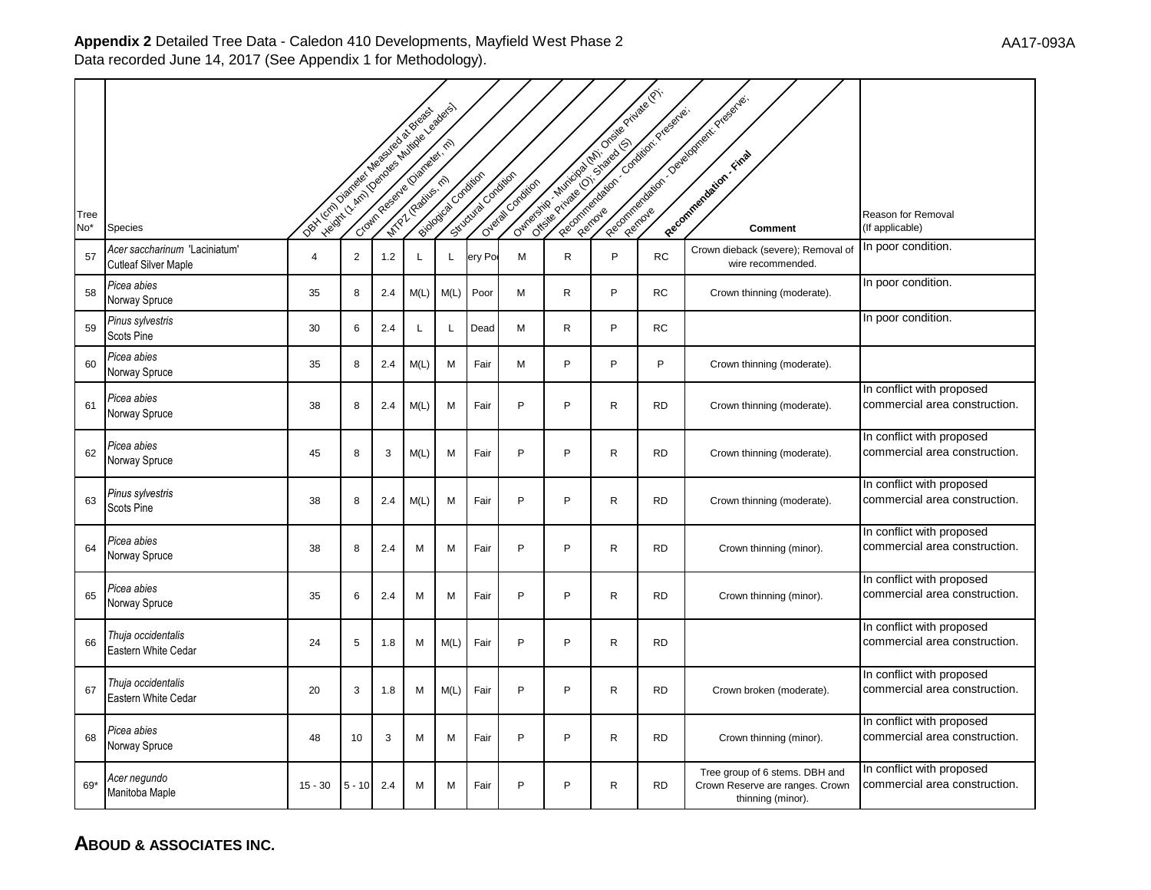|      |                                                              | Oct Lenin Distribution Manufactures of Breaks | Helpert / Amin (Oen old State Assemblance of Branch |     |      |                    |                      |                  |              | Outros de la visite de la visite de la visite de la visite de la<br>Report of the control of creek residence. |           | Recognization of Development Presenter.                                                |                                                            |
|------|--------------------------------------------------------------|-----------------------------------------------|-----------------------------------------------------|-----|------|--------------------|----------------------|------------------|--------------|---------------------------------------------------------------------------------------------------------------|-----------|----------------------------------------------------------------------------------------|------------------------------------------------------------|
| Tree |                                                              |                                               |                                                     |     |      | Biologica Canajian | Sinclusion Condition | Overal Condition |              |                                                                                                               |           |                                                                                        | Reason for Removal                                         |
| No*  | <b>Species</b>                                               |                                               |                                                     |     |      |                    |                      |                  |              |                                                                                                               |           | Comment                                                                                | (If applicable)                                            |
| 57   | Acer saccharinum 'Laciniatum'<br><b>Cutleaf Silver Maple</b> | $\overline{4}$                                | $\overline{2}$                                      | 1.2 | L    | L                  | ery Po               | M                | $\mathsf{R}$ | P                                                                                                             | <b>RC</b> | Crown dieback (severe); Removal of<br>wire recommended.                                | In poor condition.                                         |
| 58   | Picea abies<br>Norway Spruce                                 | 35                                            | 8                                                   | 2.4 | M(L) | M(L)               | Poor                 | M                | $\mathsf{R}$ | P                                                                                                             | <b>RC</b> | Crown thinning (moderate).                                                             | In poor condition.                                         |
| 59   | Pinus sylvestris<br>Scots Pine                               | 30                                            | 6                                                   | 2.4 | L    | L                  | Dead                 | М                | R            | P                                                                                                             | <b>RC</b> |                                                                                        | In poor condition.                                         |
| 60   | Picea abies<br>Norway Spruce                                 | 35                                            | 8                                                   | 2.4 | M(L) | M                  | Fair                 | M                | P            | P                                                                                                             | P         | Crown thinning (moderate).                                                             |                                                            |
| 61   | Picea abies<br>Norway Spruce                                 | 38                                            | 8                                                   | 2.4 | M(L) | M                  | Fair                 | P                | P            | R                                                                                                             | <b>RD</b> | Crown thinning (moderate).                                                             | In conflict with proposed<br>commercial area construction. |
| 62   | Picea abies<br>Norway Spruce                                 | 45                                            | 8                                                   | 3   | M(L) | M                  | Fair                 | P                | P            | $\mathsf{R}$                                                                                                  | <b>RD</b> | Crown thinning (moderate).                                                             | In conflict with proposed<br>commercial area construction. |
| 63   | Pinus sylvestris<br>Scots Pine                               | 38                                            | 8                                                   | 2.4 | M(L) | M                  | Fair                 | P                | P            | $\mathsf{R}$                                                                                                  | <b>RD</b> | Crown thinning (moderate).                                                             | In conflict with proposed<br>commercial area construction. |
| 64   | Picea abies<br>Norway Spruce                                 | 38                                            | 8                                                   | 2.4 | M    | M                  | Fair                 | P                | P            | $\mathsf{R}$                                                                                                  | <b>RD</b> | Crown thinning (minor).                                                                | In conflict with proposed<br>commercial area construction. |
| 65   | Picea abies<br>Norway Spruce                                 | 35                                            | 6                                                   | 2.4 | M    | M                  | Fair                 | P                | P            | R                                                                                                             | <b>RD</b> | Crown thinning (minor).                                                                | In conflict with proposed<br>commercial area construction. |
| 66   | Thuja occidentalis<br>Eastern White Cedar                    | 24                                            | 5                                                   | 1.8 | M    | M(L)               | Fair                 | P                | P            | $\mathsf{R}$                                                                                                  | <b>RD</b> |                                                                                        | In conflict with proposed<br>commercial area construction. |
| 67   | Thuja occidentalis<br>Eastern White Cedar                    | 20                                            | 3                                                   | 1.8 | M    | M(L)               | Fair                 | P                | P            | $\mathsf{R}$                                                                                                  | <b>RD</b> | Crown broken (moderate).                                                               | In conflict with proposed<br>commercial area construction. |
| 68   | Picea abies<br>Norway Spruce                                 | 48                                            | 10                                                  | 3   | M    | M                  | Fair                 | P                | P            | R                                                                                                             | <b>RD</b> | Crown thinning (minor).                                                                | In conflict with proposed<br>commercial area construction. |
| 69*  | Acer negundo<br>Manitoba Maple                               | $15 - 30$                                     | $5 - 10$                                            | 2.4 | м    | M                  | Fair                 | P                | P            | R                                                                                                             | <b>RD</b> | Tree group of 6 stems. DBH and<br>Crown Reserve are ranges. Crown<br>thinning (minor). | In conflict with proposed<br>commercial area construction. |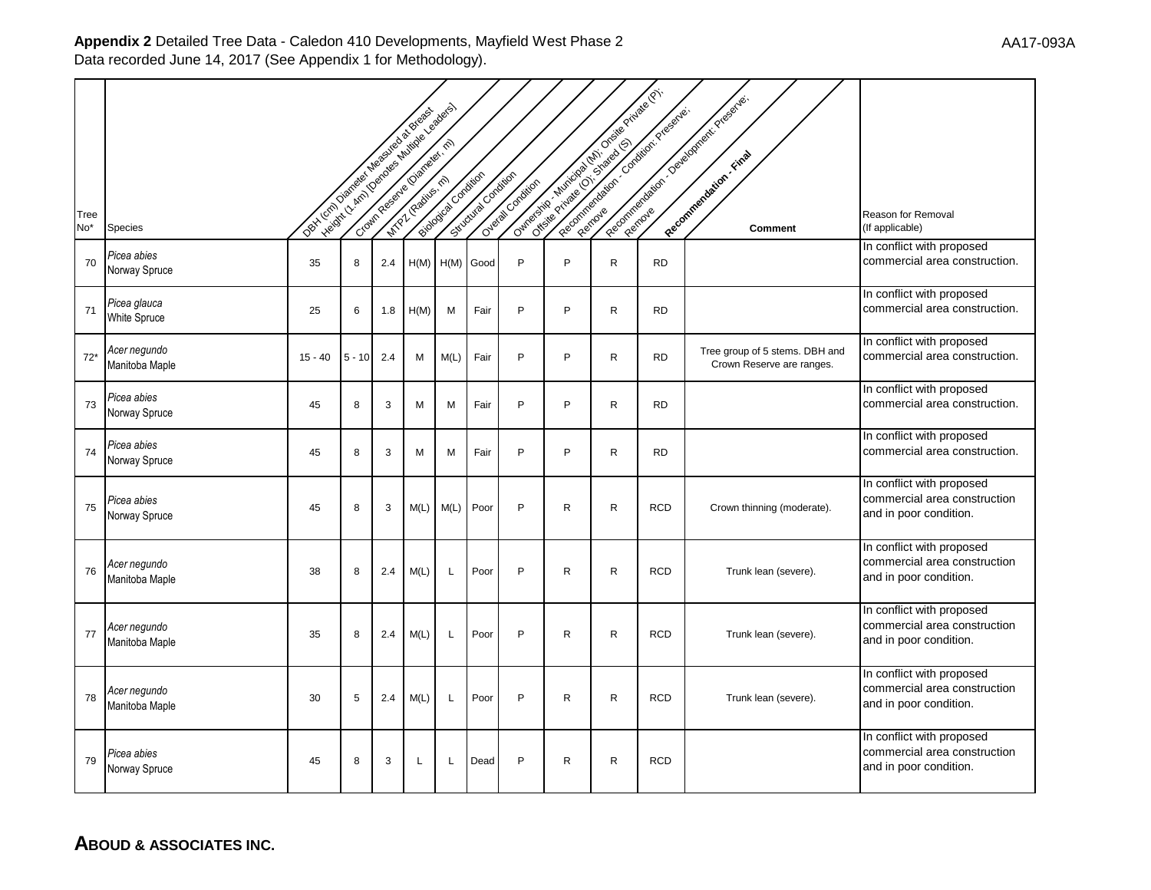|                         |                                     | Dex Local Distribution Media New Strategies | Ivelant / Amil Democratistics & Brazilian |     |      | Blood of one work | Situation Condition | Oreal Condition | Outros de la cidad de la provincia de la cidad de la |   | Recognization of Condition Presentes. | Recognization of Development Presidents.                    |                                                                                     |
|-------------------------|-------------------------------------|---------------------------------------------|-------------------------------------------|-----|------|-------------------|---------------------|-----------------|------------------------------------------------------|---|---------------------------------------|-------------------------------------------------------------|-------------------------------------------------------------------------------------|
| Tree<br>No <sup>*</sup> | <b>Species</b>                      |                                             |                                           |     |      |                   |                     |                 |                                                      |   |                                       | Comment                                                     | Reason for Removal<br>(If applicable)                                               |
| 70                      | Picea abies<br>Norway Spruce        | 35                                          | 8                                         | 2.4 |      | $H(M)$ $H(M)$     | Good                | P               | P                                                    | R | <b>RD</b>                             |                                                             | In conflict with proposed<br>commercial area construction.                          |
| 71                      | Picea glauca<br><b>White Spruce</b> | 25                                          | 6                                         | 1.8 | H(M) | M                 | Fair                | P               | P                                                    | R | <b>RD</b>                             |                                                             | In conflict with proposed<br>commercial area construction.                          |
| $72*$                   | Acer negundo<br>Manitoba Maple      | $15 - 40$                                   | $5 - 10$                                  | 2.4 | M    | M(L)              | Fair                | P               | P                                                    | R | <b>RD</b>                             | Tree group of 5 stems. DBH and<br>Crown Reserve are ranges. | In conflict with proposed<br>commercial area construction.                          |
| 73                      | Picea abies<br>Norway Spruce        | 45                                          | 8                                         | 3   | M    | M                 | Fair                | P               | P                                                    | R | <b>RD</b>                             |                                                             | In conflict with proposed<br>commercial area construction.                          |
| 74                      | Picea abies<br>Norway Spruce        | 45                                          | 8                                         | 3   | M    | M                 | Fair                | P               | P                                                    | R | <b>RD</b>                             |                                                             | In conflict with proposed<br>commercial area construction.                          |
| 75                      | Picea abies<br>Norway Spruce        | 45                                          | 8                                         | 3   | M(L) | M(L)              | Poor                | P               | R                                                    | R | <b>RCD</b>                            | Crown thinning (moderate).                                  | In conflict with proposed<br>commercial area construction<br>and in poor condition. |
| 76                      | Acer negundo<br>Manitoba Maple      | 38                                          | 8                                         | 2.4 | M(L) | L                 | Poor                | P               | $\mathsf{R}$                                         | R | <b>RCD</b>                            | Trunk lean (severe).                                        | In conflict with proposed<br>commercial area construction<br>and in poor condition. |
| 77                      | Acer negundo<br>Manitoba Maple      | 35                                          | 8                                         | 2.4 | M(L) | L                 | Poor                | P               | $\mathsf R$                                          | R | <b>RCD</b>                            | Trunk lean (severe).                                        | In conflict with proposed<br>commercial area construction<br>and in poor condition. |
| 78                      | Acer negundo<br>Manitoba Maple      | 30                                          | 5                                         | 2.4 | M(L) | $\mathsf{L}$      | Poor                | P               | R                                                    | R | <b>RCD</b>                            | Trunk lean (severe).                                        | In conflict with proposed<br>commercial area construction<br>and in poor condition. |
| 79                      | Picea abies<br>Norway Spruce        | 45                                          | 8                                         | 3   | L    | L                 | Dead                | P               | R                                                    | R | <b>RCD</b>                            |                                                             | In conflict with proposed<br>commercial area construction<br>and in poor condition. |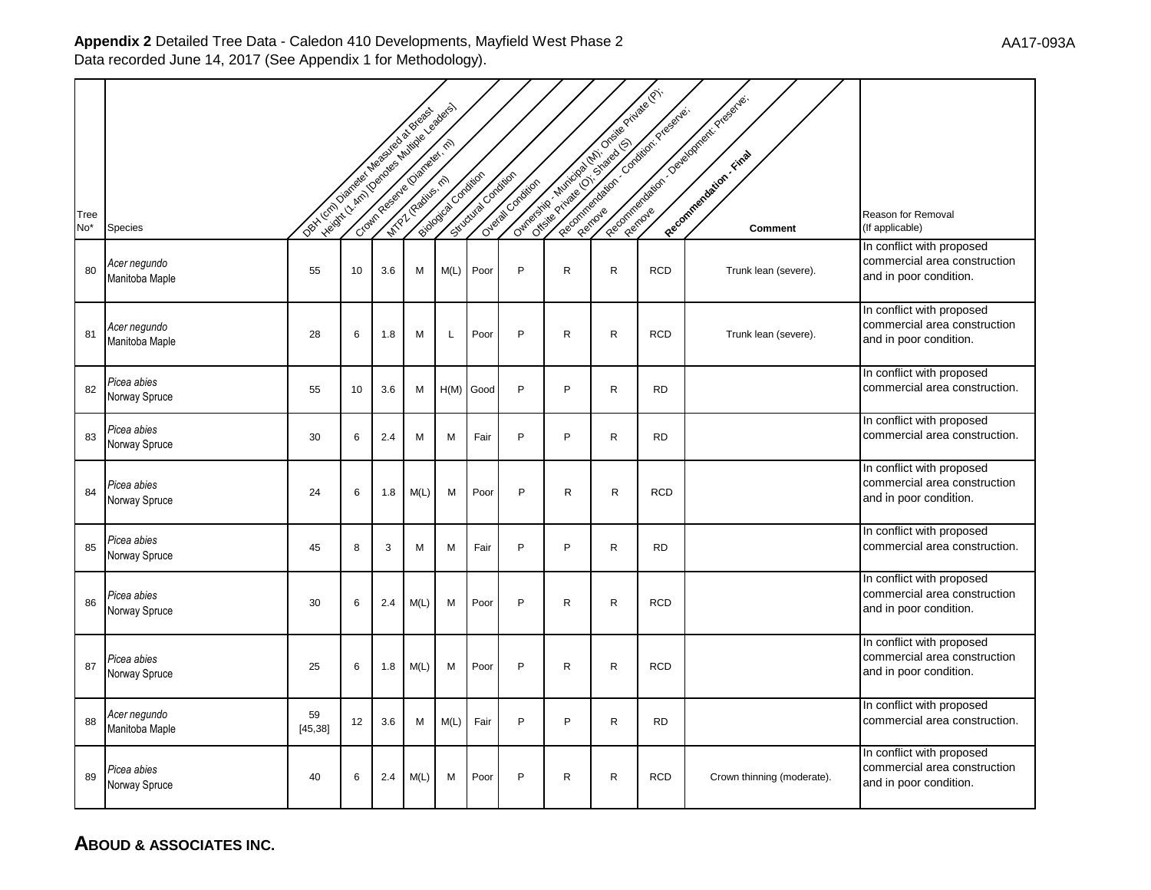|                         |                                | Dex Local Digital of Magazine as by Brack | Velopt / A Min (Denotes of Music of Section Assessment) |     |      |                   |                   |                    |              |              | Currently of the deep of the deep of the dist.<br>Reporting to the Condition President | Reconciliation of Development Presidents. |                                                                                     |
|-------------------------|--------------------------------|-------------------------------------------|---------------------------------------------------------|-----|------|-------------------|-------------------|--------------------|--------------|--------------|----------------------------------------------------------------------------------------|-------------------------------------------|-------------------------------------------------------------------------------------|
|                         |                                |                                           |                                                         |     |      |                   |                   |                    |              |              |                                                                                        |                                           |                                                                                     |
| Tree<br>No <sup>*</sup> | <b>Species</b>                 |                                           |                                                         |     |      | Booksta Condition | Strochuse oneitor | Overland Condition |              |              |                                                                                        | <b>Comment</b>                            | Reason for Removal<br>(If applicable)                                               |
| 80                      | Acer negundo<br>Manitoba Maple | 55                                        | 10                                                      | 3.6 | M    | M(L)              | Poor              | P                  | $\mathsf{R}$ | R            | <b>RCD</b>                                                                             | Trunk lean (severe).                      | In conflict with proposed<br>commercial area construction<br>and in poor condition. |
| 81                      | Acer negundo<br>Manitoba Maple | 28                                        | 6                                                       | 1.8 | M    | L                 | Poor              | P                  | R            | $\mathsf{R}$ | <b>RCD</b>                                                                             | Trunk lean (severe).                      | In conflict with proposed<br>commercial area construction<br>and in poor condition. |
| 82                      | Picea abies<br>Norway Spruce   | 55                                        | 10                                                      | 3.6 | M    | H(M)              | Good              | P                  | P            | R            | <b>RD</b>                                                                              |                                           | In conflict with proposed<br>commercial area construction.                          |
| 83                      | Picea abies<br>Norway Spruce   | 30                                        | 6                                                       | 2.4 | M    | M                 | Fair              | P                  | P            | $\mathsf{R}$ | <b>RD</b>                                                                              |                                           | In conflict with proposed<br>commercial area construction.                          |
| 84                      | Picea abies<br>Norway Spruce   | 24                                        | 6                                                       | 1.8 | M(L) | M                 | Poor              | P                  | $\mathsf{R}$ | $\mathsf{R}$ | <b>RCD</b>                                                                             |                                           | In conflict with proposed<br>commercial area construction<br>and in poor condition. |
| 85                      | Picea abies<br>Norway Spruce   | 45                                        | 8                                                       | 3   | M    | M                 | Fair              | P                  | P            | $\mathsf{R}$ | <b>RD</b>                                                                              |                                           | In conflict with proposed<br>commercial area construction.                          |
| 86                      | Picea abies<br>Norway Spruce   | 30                                        | 6                                                       | 2.4 | M(L) | M                 | Poor              | P                  | R            | R            | <b>RCD</b>                                                                             |                                           | In conflict with proposed<br>commercial area construction<br>and in poor condition. |
| 87                      | Picea abies<br>Norway Spruce   | 25                                        | 6                                                       | 1.8 | M(L) | M                 | Poor              | P                  | R            | $\mathsf{R}$ | <b>RCD</b>                                                                             |                                           | In conflict with proposed<br>commercial area construction<br>and in poor condition. |
| 88                      | Acer negundo<br>Manitoba Maple | 59<br>[45, 38]                            | 12                                                      | 3.6 | м    | M(L)              | Fair              | P                  | P            | R            | <b>RD</b>                                                                              |                                           | In conflict with proposed<br>commercial area construction.                          |
| 89                      | Picea abies<br>Norway Spruce   | 40                                        | 6                                                       | 2.4 | M(L) | м                 | Poor              | P                  | $\mathsf{R}$ | $\mathsf{R}$ | <b>RCD</b>                                                                             | Crown thinning (moderate).                | In conflict with proposed<br>commercial area construction<br>and in poor condition. |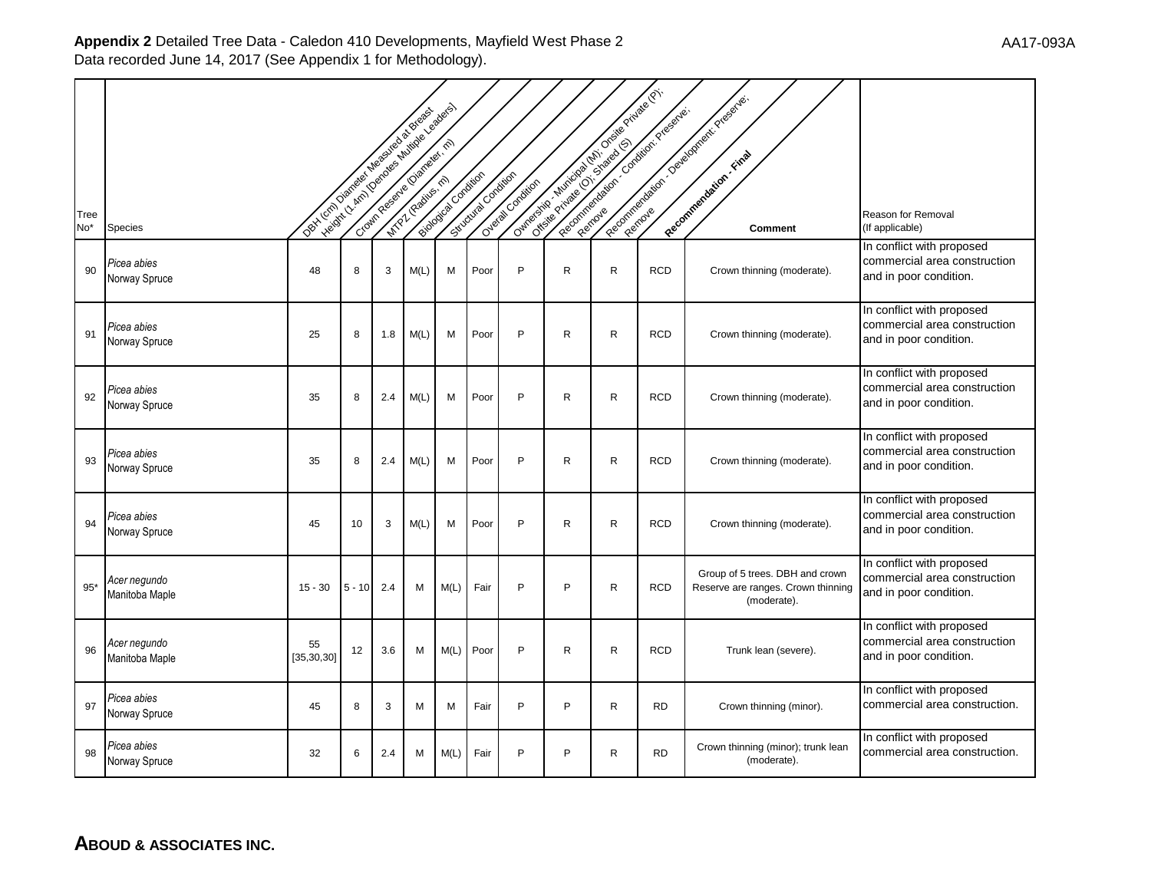|             |                                | Oct 1/2 (2) Optical of Magavico & Breast | Legislatic Amin (Osnovania Aminole oslovenske) |     |      | Biodography oxiders | Since of Gravitan | Overland Condition |              |              | Outros de la cidad de la provincia de la cidad de la<br>Report of the contract of year of a | Recognization of Development Presidents.                                             |                                                                                     |
|-------------|--------------------------------|------------------------------------------|------------------------------------------------|-----|------|---------------------|-------------------|--------------------|--------------|--------------|---------------------------------------------------------------------------------------------|--------------------------------------------------------------------------------------|-------------------------------------------------------------------------------------|
| Tree<br>No* | <b>Species</b>                 |                                          |                                                |     |      |                     |                   |                    |              |              |                                                                                             | Comment                                                                              | Reason for Removal<br>(If applicable)                                               |
| 90          | Picea abies<br>Norway Spruce   | 48                                       | 8                                              | 3   | M(L) | M                   | Poor              | P                  | R            | R            | <b>RCD</b>                                                                                  | Crown thinning (moderate).                                                           | In conflict with proposed<br>commercial area construction<br>and in poor condition. |
| 91          | Picea abies<br>Norway Spruce   | 25                                       | 8                                              | 1.8 | M(L) | M                   | Poor              | P                  | R            | R            | <b>RCD</b>                                                                                  | Crown thinning (moderate).                                                           | In conflict with proposed<br>commercial area construction<br>and in poor condition. |
| 92          | Picea abies<br>Norway Spruce   | 35                                       | 8                                              | 2.4 | M(L) | M                   | Poor              | P                  | $\mathsf{R}$ | $\mathsf{R}$ | <b>RCD</b>                                                                                  | Crown thinning (moderate).                                                           | In conflict with proposed<br>commercial area construction<br>and in poor condition. |
| 93          | Picea abies<br>Norway Spruce   | 35                                       | 8                                              | 2.4 | M(L) | м                   | Poor              | P                  | R            | R            | <b>RCD</b>                                                                                  | Crown thinning (moderate).                                                           | In conflict with proposed<br>commercial area construction<br>and in poor condition. |
| 94          | Picea abies<br>Norway Spruce   | 45                                       | 10                                             | 3   | M(L) | M                   | Poor              | P                  | R            | $\mathsf{R}$ | <b>RCD</b>                                                                                  | Crown thinning (moderate).                                                           | In conflict with proposed<br>commercial area construction<br>and in poor condition. |
| $95*$       | Acer negundo<br>Manitoba Maple | $15 - 30$                                | $5 - 10$                                       | 2.4 | M    | M(L)                | Fair              | P                  | P            | R            | <b>RCD</b>                                                                                  | Group of 5 trees. DBH and crown<br>Reserve are ranges. Crown thinning<br>(moderate). | In conflict with proposed<br>commercial area construction<br>and in poor condition. |
| 96          | Acer negundo<br>Manitoba Maple | 55<br>[35, 30, 30]                       | 12                                             | 3.6 | M    | M(L)                | Poor              | P                  | R            | R            | <b>RCD</b>                                                                                  | Trunk lean (severe).                                                                 | In conflict with proposed<br>commercial area construction<br>and in poor condition. |
| 97          | Picea abies<br>Norway Spruce   | 45                                       | 8                                              | 3   | M    | M                   | Fair              | P                  | P            | R            | <b>RD</b>                                                                                   | Crown thinning (minor).                                                              | In conflict with proposed<br>commercial area construction.                          |
| 98          | Picea abies<br>Norway Spruce   | 32                                       | 6                                              | 2.4 | м    | M(L)                | Fair              | P                  | P            | R            | <b>RD</b>                                                                                   | Crown thinning (minor); trunk lean<br>(moderate).                                    | In conflict with proposed<br>commercial area construction.                          |

**ABOUD & ASSOCIATES INC.**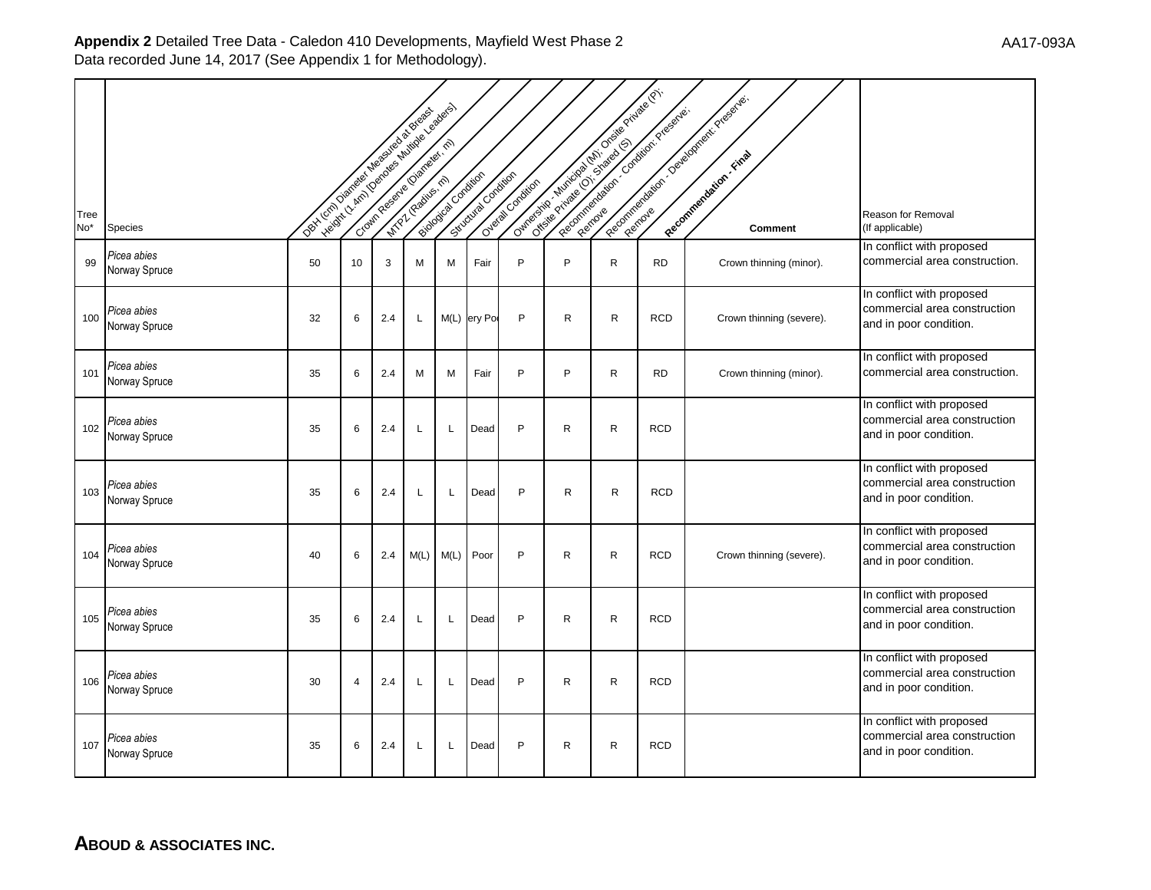|                         |                              | Ivelant, I Am I Demonstration & Branch Bandage<br>ORY LOT Distribution Measures as Broadway |    |     |      |                      |                    |                   |              |              | Outros de la registración de la Característica de la<br>Reporting to the Condition Program | Recognization of Development Presentes |                                                                                     |
|-------------------------|------------------------------|---------------------------------------------------------------------------------------------|----|-----|------|----------------------|--------------------|-------------------|--------------|--------------|--------------------------------------------------------------------------------------------|----------------------------------------|-------------------------------------------------------------------------------------|
| Tree<br>No <sup>*</sup> | Species                      |                                                                                             |    |     |      | Biological Oxfortion | Scrowing Condition | Overage Condition |              |              |                                                                                            | Comment                                | Reason for Removal<br>(If applicable)                                               |
| 99                      | Picea abies<br>Norway Spruce | 50                                                                                          | 10 | 3   | M    | M                    | Fair               | P                 | P            | $\mathsf{R}$ | <b>RD</b>                                                                                  | Crown thinning (minor).                | In conflict with proposed<br>commercial area construction.                          |
| 100                     | Picea abies<br>Norway Spruce | 32                                                                                          | 6  | 2.4 | L    |                      | M(L) ery Po        | P                 | $\mathsf{R}$ | $\mathsf{R}$ | <b>RCD</b>                                                                                 | Crown thinning (severe).               | In conflict with proposed<br>commercial area construction<br>and in poor condition. |
| 101                     | Picea abies<br>Norway Spruce | 35                                                                                          | 6  | 2.4 | M    | М                    | Fair               | P                 | P            | R            | <b>RD</b>                                                                                  | Crown thinning (minor).                | In conflict with proposed<br>commercial area construction.                          |
| 102                     | Picea abies<br>Norway Spruce | 35                                                                                          | 6  | 2.4 | L    | L                    | Dead               | P                 | $\mathsf{R}$ | R.           | <b>RCD</b>                                                                                 |                                        | In conflict with proposed<br>commercial area construction<br>and in poor condition. |
| 103                     | Picea abies<br>Norway Spruce | 35                                                                                          | 6  | 2.4 | L    | Г                    | Dead               | P                 | R            | R            | <b>RCD</b>                                                                                 |                                        | In conflict with proposed<br>commercial area construction<br>and in poor condition. |
| 104                     | Picea abies<br>Norway Spruce | 40                                                                                          | 6  | 2.4 | M(L) | M(L)                 | Poor               | P                 | R            | R            | <b>RCD</b>                                                                                 | Crown thinning (severe).               | In conflict with proposed<br>commercial area construction<br>and in poor condition. |
| 105                     | Picea abies<br>Norway Spruce | 35                                                                                          | 6  | 2.4 |      | L                    | Dead               | P                 | $\mathsf{R}$ | $\mathsf{R}$ | <b>RCD</b>                                                                                 |                                        | In conflict with proposed<br>commercial area construction<br>and in poor condition. |
| 106                     | Picea abies<br>Norway Spruce | 30                                                                                          | 4  | 2.4 |      | L                    | Dead               | P                 | R            | R            | <b>RCD</b>                                                                                 |                                        | In conflict with proposed<br>commercial area construction<br>and in poor condition. |
| 107                     | Picea abies<br>Norway Spruce | 35                                                                                          | 6  | 2.4 | L    | L                    | Dead               | P                 | R            | R            | <b>RCD</b>                                                                                 |                                        | In conflict with proposed<br>commercial area construction<br>and in poor condition. |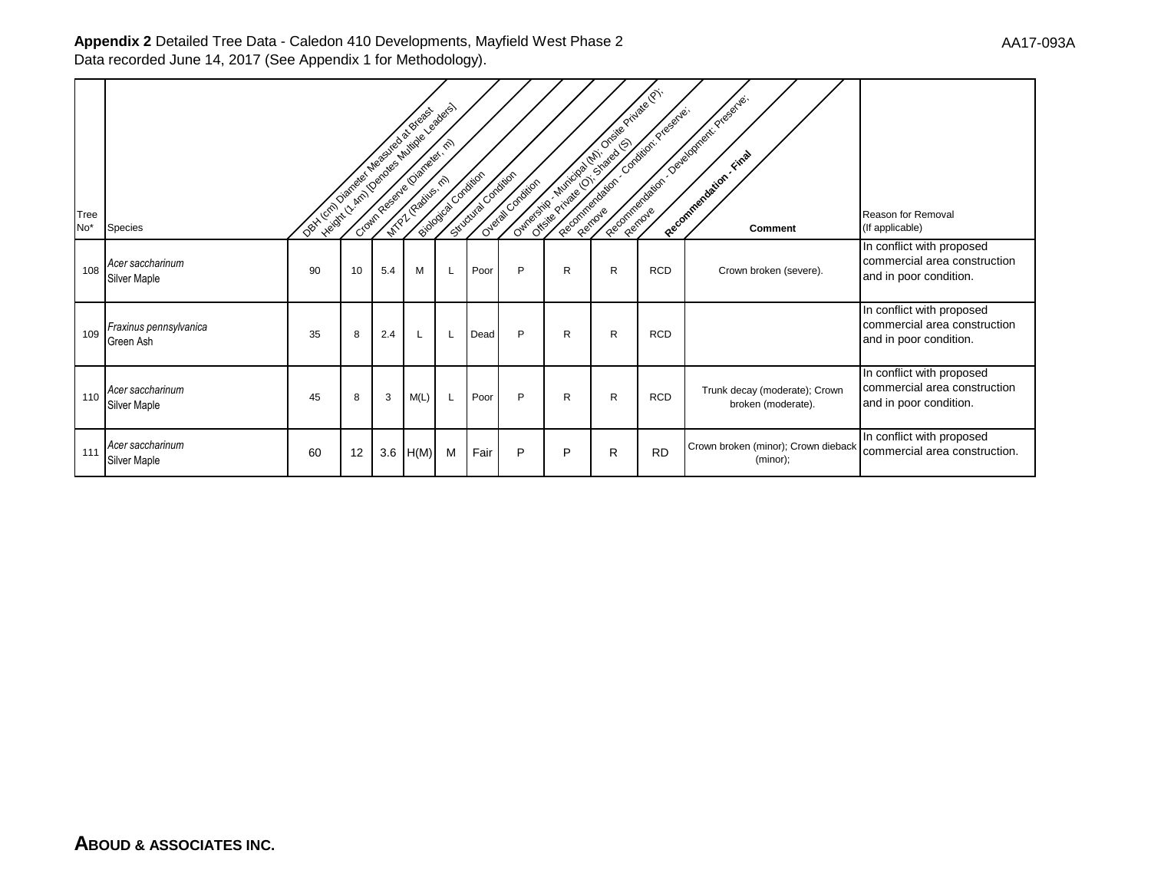| Tree<br>No <sup>*</sup> | <b>Species</b>                      | Det Lynn Daniels in Marshall du Stagssisch |    |     | Height , Amy Denderstand of Castles Assistance | Following Condition | Strictural Oncelairo | Overal Condition |              | Our offering or with the control of the original of con-<br>Reporting of the Contractor of Banks |            | Reproducing the product of the contract of contract of<br>Peecommentation, Final<br><b>Comment</b> | Reason for Removal<br>(If applicable)                                               |
|-------------------------|-------------------------------------|--------------------------------------------|----|-----|------------------------------------------------|---------------------|----------------------|------------------|--------------|--------------------------------------------------------------------------------------------------|------------|----------------------------------------------------------------------------------------------------|-------------------------------------------------------------------------------------|
| 108                     | Acer saccharinum<br>Silver Maple    | 90                                         | 10 | 5.4 | м                                              | L                   | Poor                 | P                | R            | R                                                                                                | <b>RCD</b> | Crown broken (severe).                                                                             | In conflict with proposed<br>commercial area construction<br>and in poor condition. |
| 109                     | Fraxinus pennsylvanica<br>Green Ash | 35                                         | 8  | 2.4 |                                                | L                   | Dead                 | P                | $\mathsf{R}$ | R                                                                                                | <b>RCD</b> |                                                                                                    | In conflict with proposed<br>commercial area construction<br>and in poor condition. |
| 110                     | Acer saccharinum<br>Silver Maple    | 45                                         | 8  | 3   | M(L)                                           | L                   | Poor                 | P                | R            | R                                                                                                | <b>RCD</b> | Trunk decay (moderate); Crown<br>broken (moderate).                                                | In conflict with proposed<br>commercial area construction<br>and in poor condition. |
| 111                     | Acer saccharinum<br>Silver Maple    | 60                                         | 12 | 3.6 | H(M)                                           | M                   | Fair                 | P                | P            | R                                                                                                | <b>RD</b>  | Crown broken (minor); Crown dieback<br>(minor);                                                    | In conflict with proposed<br>commercial area construction.                          |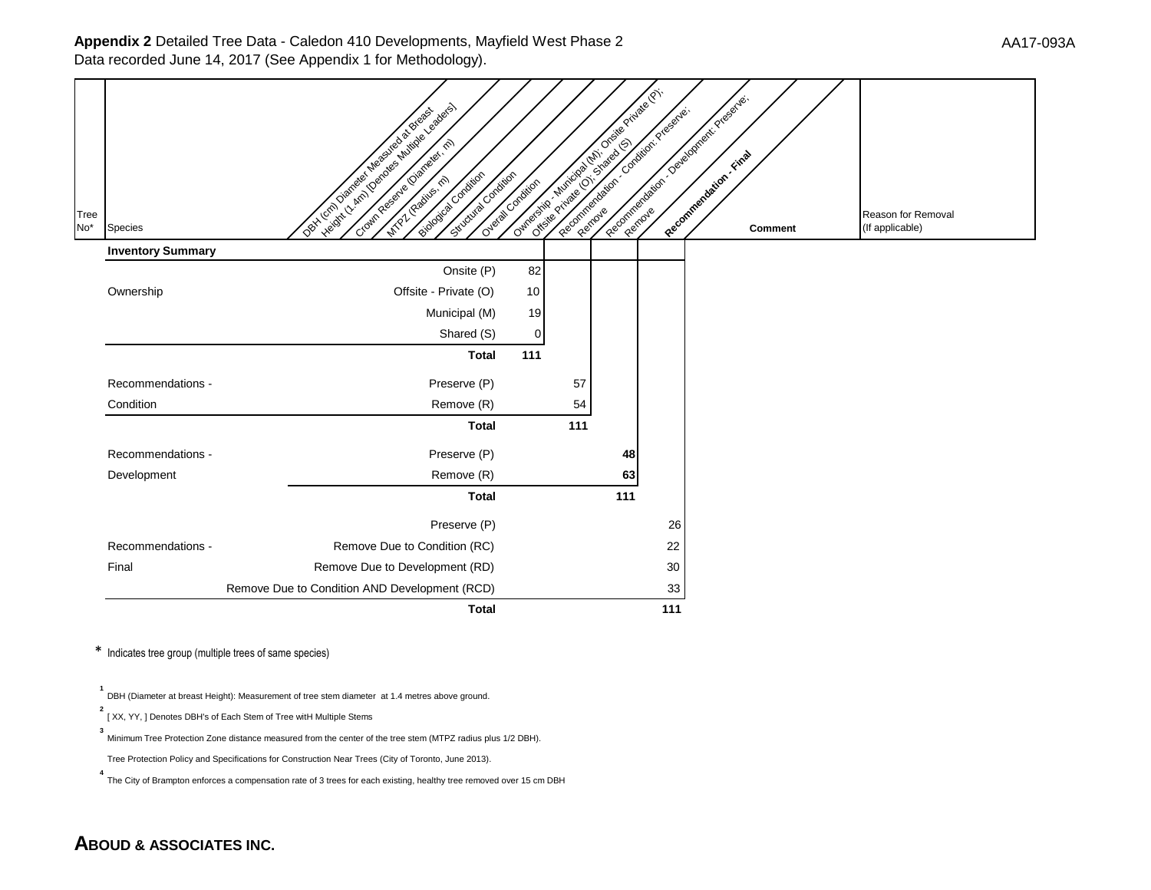| Tree<br>No <sup>*</sup><br>Species | veight / Amil Demonstration & Demonstration<br>Doct London Digital Manufacture of Breaks<br>Biocography condition<br>Situativa condition | Overal Condition |     | Ouring of the Montgomery of the Contractor of the Contractor<br>Report of the control of creegy of a |     | Report Follows (1) Osteophier (1) Presidentes<br>Comment | Reason for Removal<br>(If applicable) |
|------------------------------------|------------------------------------------------------------------------------------------------------------------------------------------|------------------|-----|------------------------------------------------------------------------------------------------------|-----|----------------------------------------------------------|---------------------------------------|
| <b>Inventory Summary</b>           |                                                                                                                                          |                  |     |                                                                                                      |     |                                                          |                                       |
|                                    | Onsite (P)                                                                                                                               | 82               |     |                                                                                                      |     |                                                          |                                       |
| Ownership                          | Offsite - Private (O)                                                                                                                    | 10               |     |                                                                                                      |     |                                                          |                                       |
|                                    | Municipal (M)                                                                                                                            | 19               |     |                                                                                                      |     |                                                          |                                       |
|                                    | Shared (S)                                                                                                                               | 0                |     |                                                                                                      |     |                                                          |                                       |
|                                    | <b>Total</b>                                                                                                                             | 111              |     |                                                                                                      |     |                                                          |                                       |
| Recommendations -                  | Preserve (P)                                                                                                                             |                  | 57  |                                                                                                      |     |                                                          |                                       |
| Condition                          | Remove (R)                                                                                                                               |                  | 54  |                                                                                                      |     |                                                          |                                       |
|                                    | <b>Total</b>                                                                                                                             |                  | 111 |                                                                                                      |     |                                                          |                                       |
| Recommendations -                  | Preserve (P)                                                                                                                             |                  |     | 48                                                                                                   |     |                                                          |                                       |
| Development                        | Remove (R)                                                                                                                               |                  |     | 63                                                                                                   |     |                                                          |                                       |
|                                    | <b>Total</b>                                                                                                                             |                  |     | 111                                                                                                  |     |                                                          |                                       |
|                                    | Preserve (P)                                                                                                                             |                  |     |                                                                                                      | 26  |                                                          |                                       |
| Recommendations -                  | Remove Due to Condition (RC)                                                                                                             |                  |     |                                                                                                      | 22  |                                                          |                                       |
| Final                              | Remove Due to Development (RD)                                                                                                           |                  |     |                                                                                                      | 30  |                                                          |                                       |
|                                    | Remove Due to Condition AND Development (RCD)                                                                                            |                  |     |                                                                                                      | 33  |                                                          |                                       |
|                                    | <b>Total</b>                                                                                                                             |                  |     |                                                                                                      | 111 |                                                          |                                       |

\* Indicates tree group (multiple trees of same species)

**1** DBH (Diameter at breast Height): Measurement of tree stem diameter at 1.4 metres above ground.

**2** <sup>2</sup> [ XX, YY, ] Denotes DBH's of Each Stem of Tree witH Multiple Stems

**3** Minimum Tree Protection Zone distance measured from the center of the tree stem (MTPZ radius plus 1/2 DBH).

Tree Protection Policy and Specifications for Construction Near Trees (City of Toronto, June 2013).

**4** .<br>The City of Brampton enforces a compensation rate of 3 trees for each existing, healthy tree removed over 15 cm DBH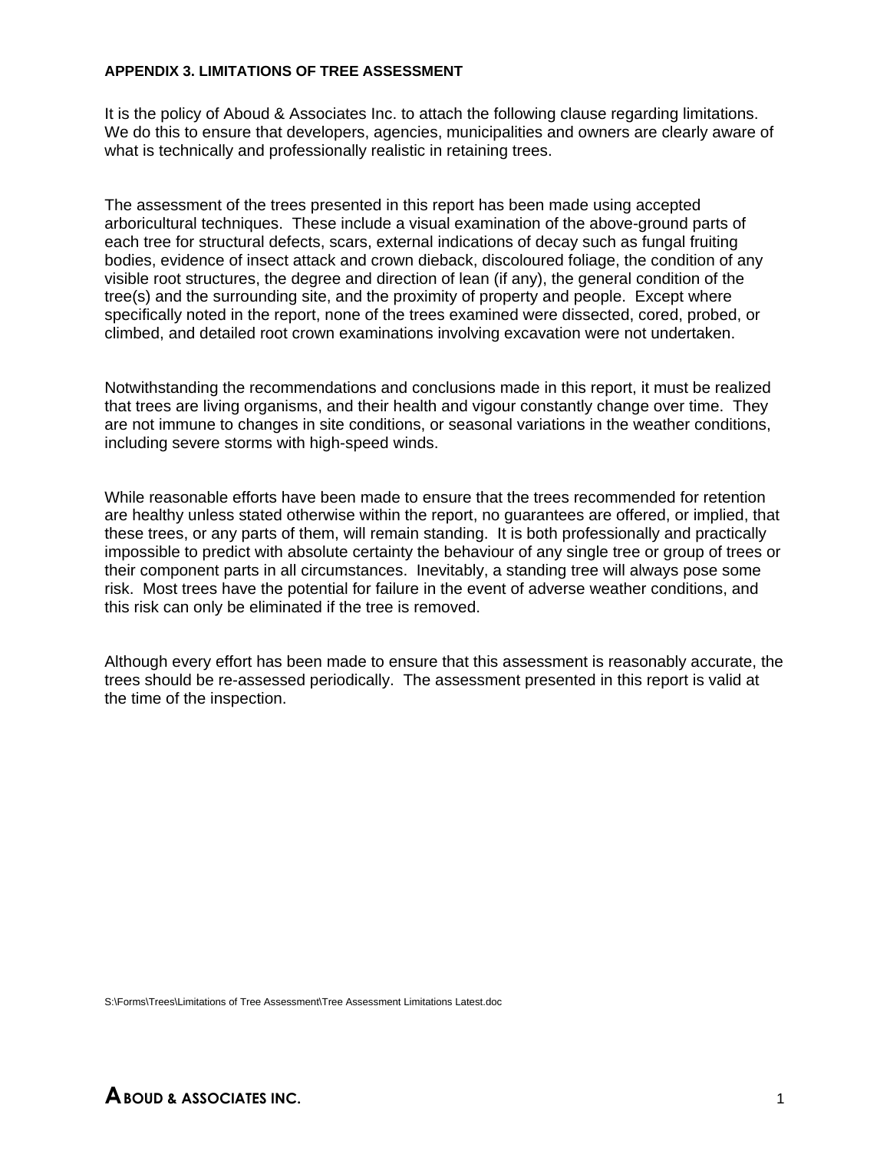#### **APPENDIX 3. LIMITATIONS OF TREE ASSESSMENT**

It is the policy of Aboud & Associates Inc. to attach the following clause regarding limitations. We do this to ensure that developers, agencies, municipalities and owners are clearly aware of what is technically and professionally realistic in retaining trees.

The assessment of the trees presented in this report has been made using accepted arboricultural techniques. These include a visual examination of the above-ground parts of each tree for structural defects, scars, external indications of decay such as fungal fruiting bodies, evidence of insect attack and crown dieback, discoloured foliage, the condition of any visible root structures, the degree and direction of lean (if any), the general condition of the tree(s) and the surrounding site, and the proximity of property and people. Except where specifically noted in the report, none of the trees examined were dissected, cored, probed, or climbed, and detailed root crown examinations involving excavation were not undertaken.

Notwithstanding the recommendations and conclusions made in this report, it must be realized that trees are living organisms, and their health and vigour constantly change over time. They are not immune to changes in site conditions, or seasonal variations in the weather conditions, including severe storms with high-speed winds.

While reasonable efforts have been made to ensure that the trees recommended for retention are healthy unless stated otherwise within the report, no guarantees are offered, or implied, that these trees, or any parts of them, will remain standing. It is both professionally and practically impossible to predict with absolute certainty the behaviour of any single tree or group of trees or their component parts in all circumstances. Inevitably, a standing tree will always pose some risk. Most trees have the potential for failure in the event of adverse weather conditions, and this risk can only be eliminated if the tree is removed.

Although every effort has been made to ensure that this assessment is reasonably accurate, the trees should be re-assessed periodically. The assessment presented in this report is valid at the time of the inspection.

S:\Forms\Trees\Limitations of Tree Assessment\Tree Assessment Limitations Latest.doc